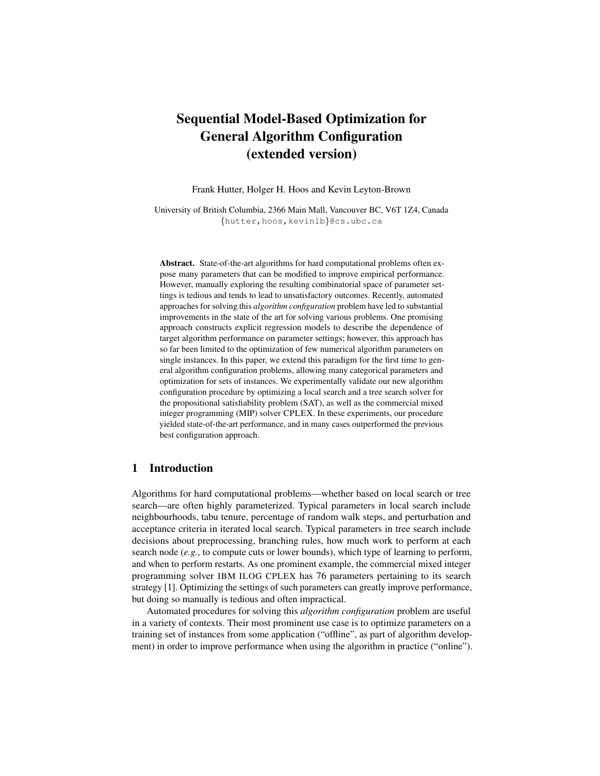# Sequential Model-Based Optimization for General Algorithm Configuration (extended version)

Frank Hutter, Holger H. Hoos and Kevin Leyton-Brown

University of British Columbia, 2366 Main Mall, Vancouver BC, V6T 1Z4, Canada {hutter,hoos,kevinlb}@cs.ubc.ca

Abstract. State-of-the-art algorithms for hard computational problems often expose many parameters that can be modified to improve empirical performance. However, manually exploring the resulting combinatorial space of parameter settings is tedious and tends to lead to unsatisfactory outcomes. Recently, automated approaches for solving this *algorithm configuration* problem have led to substantial improvements in the state of the art for solving various problems. One promising approach constructs explicit regression models to describe the dependence of target algorithm performance on parameter settings; however, this approach has so far been limited to the optimization of few numerical algorithm parameters on single instances. In this paper, we extend this paradigm for the first time to general algorithm configuration problems, allowing many categorical parameters and optimization for sets of instances. We experimentally validate our new algorithm configuration procedure by optimizing a local search and a tree search solver for the propositional satisfiability problem (SAT), as well as the commercial mixed integer programming (MIP) solver CPLEX. In these experiments, our procedure yielded state-of-the-art performance, and in many cases outperformed the previous best configuration approach.

# 1 Introduction

Algorithms for hard computational problems—whether based on local search or tree search—are often highly parameterized. Typical parameters in local search include neighbourhoods, tabu tenure, percentage of random walk steps, and perturbation and acceptance criteria in iterated local search. Typical parameters in tree search include decisions about preprocessing, branching rules, how much work to perform at each search node (*e.g.*, to compute cuts or lower bounds), which type of learning to perform, and when to perform restarts. As one prominent example, the commercial mixed integer programming solver IBM ILOG CPLEX has 76 parameters pertaining to its search strategy [1]. Optimizing the settings of such parameters can greatly improve performance, but doing so manually is tedious and often impractical.

Automated procedures for solving this *algorithm configuration* problem are useful in a variety of contexts. Their most prominent use case is to optimize parameters on a training set of instances from some application ("offline", as part of algorithm development) in order to improve performance when using the algorithm in practice ("online").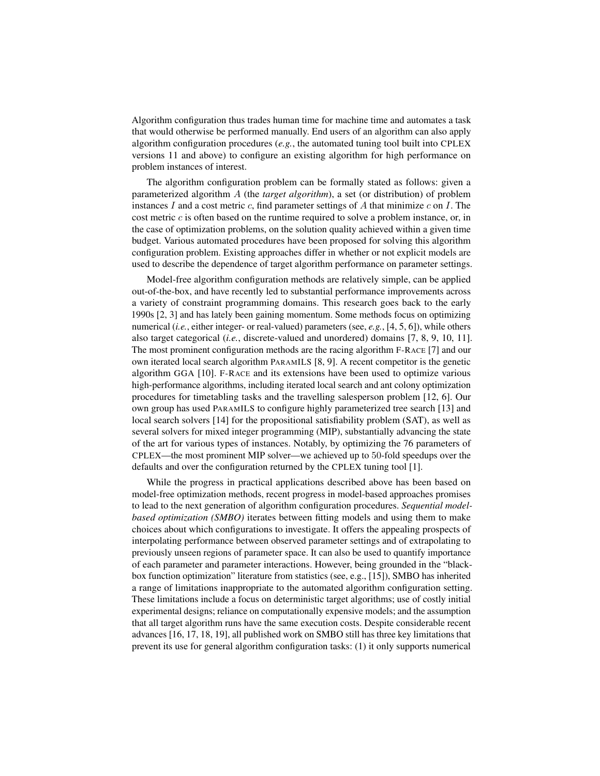Algorithm configuration thus trades human time for machine time and automates a task that would otherwise be performed manually. End users of an algorithm can also apply algorithm configuration procedures (*e.g.*, the automated tuning tool built into CPLEX versions 11 and above) to configure an existing algorithm for high performance on problem instances of interest.

The algorithm configuration problem can be formally stated as follows: given a parameterized algorithm A (the *target algorithm*), a set (or distribution) of problem instances  $I$  and a cost metric  $c$ , find parameter settings of  $A$  that minimize  $c$  on  $I$ . The cost metric  $c$  is often based on the runtime required to solve a problem instance, or, in the case of optimization problems, on the solution quality achieved within a given time budget. Various automated procedures have been proposed for solving this algorithm configuration problem. Existing approaches differ in whether or not explicit models are used to describe the dependence of target algorithm performance on parameter settings.

Model-free algorithm configuration methods are relatively simple, can be applied out-of-the-box, and have recently led to substantial performance improvements across a variety of constraint programming domains. This research goes back to the early 1990s [2, 3] and has lately been gaining momentum. Some methods focus on optimizing numerical (*i.e.*, either integer- or real-valued) parameters (see, *e.g.*, [4, 5, 6]), while others also target categorical (*i.e.*, discrete-valued and unordered) domains [7, 8, 9, 10, 11]. The most prominent configuration methods are the racing algorithm F-RACE [7] and our own iterated local search algorithm PARAMILS [8, 9]. A recent competitor is the genetic algorithm GGA [10]. F-RACE and its extensions have been used to optimize various high-performance algorithms, including iterated local search and ant colony optimization procedures for timetabling tasks and the travelling salesperson problem [12, 6]. Our own group has used PARAMILS to configure highly parameterized tree search [13] and local search solvers [14] for the propositional satisfiability problem (SAT), as well as several solvers for mixed integer programming (MIP), substantially advancing the state of the art for various types of instances. Notably, by optimizing the 76 parameters of CPLEX—the most prominent MIP solver—we achieved up to 50-fold speedups over the defaults and over the configuration returned by the CPLEX tuning tool [1].

While the progress in practical applications described above has been based on model-free optimization methods, recent progress in model-based approaches promises to lead to the next generation of algorithm configuration procedures. *Sequential modelbased optimization (SMBO)* iterates between fitting models and using them to make choices about which configurations to investigate. It offers the appealing prospects of interpolating performance between observed parameter settings and of extrapolating to previously unseen regions of parameter space. It can also be used to quantify importance of each parameter and parameter interactions. However, being grounded in the "blackbox function optimization" literature from statistics (see, e.g., [15]), SMBO has inherited a range of limitations inappropriate to the automated algorithm configuration setting. These limitations include a focus on deterministic target algorithms; use of costly initial experimental designs; reliance on computationally expensive models; and the assumption that all target algorithm runs have the same execution costs. Despite considerable recent advances [16, 17, 18, 19], all published work on SMBO still has three key limitations that prevent its use for general algorithm configuration tasks: (1) it only supports numerical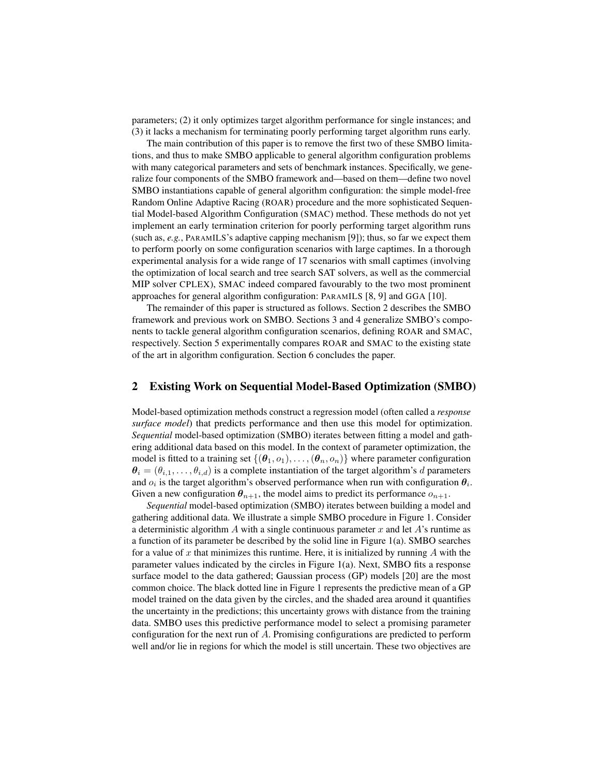parameters; (2) it only optimizes target algorithm performance for single instances; and (3) it lacks a mechanism for terminating poorly performing target algorithm runs early.

The main contribution of this paper is to remove the first two of these SMBO limitations, and thus to make SMBO applicable to general algorithm configuration problems with many categorical parameters and sets of benchmark instances. Specifically, we generalize four components of the SMBO framework and—based on them—define two novel SMBO instantiations capable of general algorithm configuration: the simple model-free Random Online Adaptive Racing (ROAR) procedure and the more sophisticated Sequential Model-based Algorithm Configuration (SMAC) method. These methods do not yet implement an early termination criterion for poorly performing target algorithm runs (such as, *e.g.*, PARAMILS's adaptive capping mechanism [9]); thus, so far we expect them to perform poorly on some configuration scenarios with large captimes. In a thorough experimental analysis for a wide range of 17 scenarios with small captimes (involving the optimization of local search and tree search SAT solvers, as well as the commercial MIP solver CPLEX), SMAC indeed compared favourably to the two most prominent approaches for general algorithm configuration: PARAMILS [8, 9] and GGA [10].

The remainder of this paper is structured as follows. Section 2 describes the SMBO framework and previous work on SMBO. Sections 3 and 4 generalize SMBO's components to tackle general algorithm configuration scenarios, defining ROAR and SMAC, respectively. Section 5 experimentally compares ROAR and SMAC to the existing state of the art in algorithm configuration. Section 6 concludes the paper.

# 2 Existing Work on Sequential Model-Based Optimization (SMBO)

Model-based optimization methods construct a regression model (often called a *response surface model*) that predicts performance and then use this model for optimization. *Sequential* model-based optimization (SMBO) iterates between fitting a model and gathering additional data based on this model. In the context of parameter optimization, the model is fitted to a training set  $\{(\theta_1, o_1), \ldots, (\theta_n, o_n)\}$  where parameter configuration  $\theta_i = (\theta_{i,1}, \dots, \theta_{i,d})$  is a complete instantiation of the target algorithm's d parameters and  $o_i$  is the target algorithm's observed performance when run with configuration  $\theta_i$ . Given a new configuration  $\theta_{n+1}$ , the model aims to predict its performance  $o_{n+1}$ .

*Sequential* model-based optimization (SMBO) iterates between building a model and gathering additional data. We illustrate a simple SMBO procedure in Figure 1. Consider a deterministic algorithm A with a single continuous parameter x and let  $A$ 's runtime as a function of its parameter be described by the solid line in Figure  $1(a)$ . SMBO searches for a value of x that minimizes this runtime. Here, it is initialized by running  $\tilde{A}$  with the parameter values indicated by the circles in Figure 1(a). Next, SMBO fits a response surface model to the data gathered; Gaussian process (GP) models [20] are the most common choice. The black dotted line in Figure 1 represents the predictive mean of a GP model trained on the data given by the circles, and the shaded area around it quantifies the uncertainty in the predictions; this uncertainty grows with distance from the training data. SMBO uses this predictive performance model to select a promising parameter configuration for the next run of A. Promising configurations are predicted to perform well and/or lie in regions for which the model is still uncertain. These two objectives are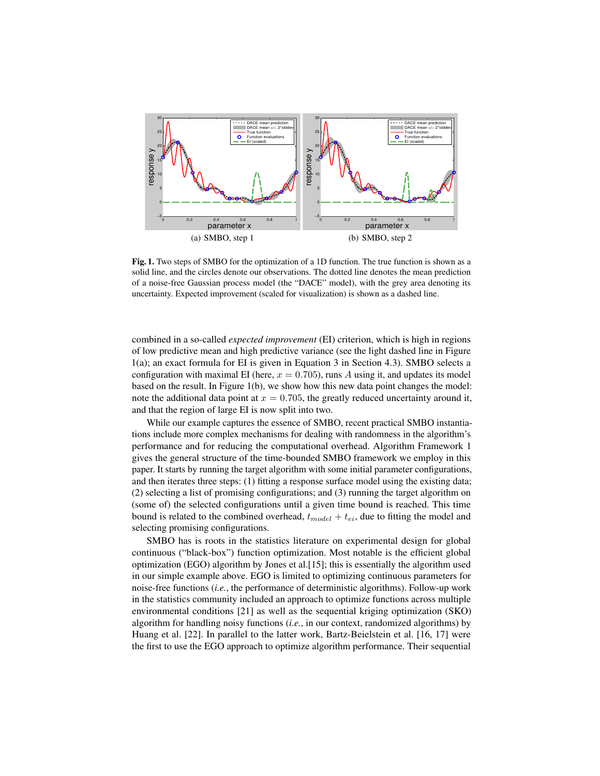

Fig. 1. Two steps of SMBO for the optimization of a 1D function. The true function is shown as a solid line, and the circles denote our observations. The dotted line denotes the mean prediction of a noise-free Gaussian process model (the "DACE" model), with the grey area denoting its uncertainty. Expected improvement (scaled for visualization) is shown as a dashed line.

combined in a so-called *expected improvement* (EI) criterion, which is high in regions of low predictive mean and high predictive variance (see the light dashed line in Figure 1(a); an exact formula for EI is given in Equation 3 in Section 4.3). SMBO selects a configuration with maximal EI (here,  $x = 0.705$ ), runs A using it, and updates its model based on the result. In Figure 1(b), we show how this new data point changes the model: note the additional data point at  $x = 0.705$ , the greatly reduced uncertainty around it, and that the region of large EI is now split into two.

While our example captures the essence of SMBO, recent practical SMBO instantiations include more complex mechanisms for dealing with randomness in the algorithm's performance and for reducing the computational overhead. Algorithm Framework 1 gives the general structure of the time-bounded SMBO framework we employ in this paper. It starts by running the target algorithm with some initial parameter configurations, and then iterates three steps: (1) fitting a response surface model using the existing data; (2) selecting a list of promising configurations; and (3) running the target algorithm on (some of) the selected configurations until a given time bound is reached. This time bound is related to the combined overhead,  $t_{model} + t_{ei}$ , due to fitting the model and selecting promising configurations.

SMBO has is roots in the statistics literature on experimental design for global continuous ("black-box") function optimization. Most notable is the efficient global optimization (EGO) algorithm by Jones et al.[15]; this is essentially the algorithm used in our simple example above. EGO is limited to optimizing continuous parameters for noise-free functions (*i.e.*, the performance of deterministic algorithms). Follow-up work in the statistics community included an approach to optimize functions across multiple environmental conditions [21] as well as the sequential kriging optimization (SKO) algorithm for handling noisy functions (*i.e.*, in our context, randomized algorithms) by Huang et al. [22]. In parallel to the latter work, Bartz-Beielstein et al. [16, 17] were the first to use the EGO approach to optimize algorithm performance. Their sequential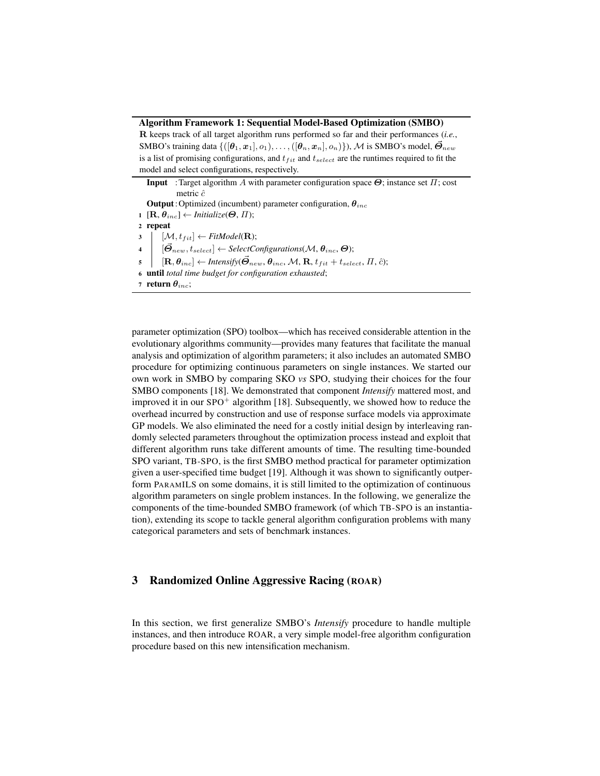### Algorithm Framework 1: Sequential Model-Based Optimization (SMBO)

R keeps track of all target algorithm runs performed so far and their performances (*i.e.*, SMBO's training data  $\{([\theta_1, x_1], o_1), \ldots, ([\theta_n, x_n], o_n)\}\)$ , M is SMBO's model,  $\vec{\Theta}_{new}$ is a list of promising configurations, and  $t_{fit}$  and  $t_{select}$  are the runtimes required to fit the model and select configurations, respectively.

**Input** :Target algorithm A with parameter configuration space  $\Theta$ ; instance set  $\Pi$ ; cost metric  $\hat{c}$ **Output**: Optimized (incumbent) parameter configuration,  $\theta_{inc}$ 1  $[\mathbf{R}, \theta_{inc}] \leftarrow \text{Initialize}(\boldsymbol{\Theta}, \boldsymbol{\Pi});$ <sup>2</sup> repeat  $\begin{aligned} \mathbf{3} \quad & \big| \quad [\mathcal{M}, t_{fit}] \leftarrow \textit{FitModel}(\mathbf{R}); \end{aligned}$  $\begin{aligned} \mathbf{4} \quad \big| \quad [\vec{\boldsymbol{\Theta}}_{new}, t_{select}] \leftarrow SelectConfigurations(\mathcal{M}, \boldsymbol{\theta}_{inc}, \boldsymbol{\Theta}); \end{aligned}$  $\mathbf{5}$   $\begin{bmatrix} \mathbf{R}, \theta_{inc} \end{bmatrix} \leftarrow$  *Intensify*( $\vec{\Theta}_{new}, \theta_{inc}, \mathcal{M}, \mathbf{R}, t_{fit} + t_{select}, \Pi, \hat{c}$ ); <sup>6</sup> until *total time budget for configuration exhausted*; 7 return  $\theta_{inc}$ ;

parameter optimization (SPO) toolbox—which has received considerable attention in the evolutionary algorithms community—provides many features that facilitate the manual analysis and optimization of algorithm parameters; it also includes an automated SMBO procedure for optimizing continuous parameters on single instances. We started our own work in SMBO by comparing SKO *vs* SPO, studying their choices for the four SMBO components [18]. We demonstrated that component *Intensify* mattered most, and improved it in our  $SPO^+$  algorithm [18]. Subsequently, we showed how to reduce the overhead incurred by construction and use of response surface models via approximate GP models. We also eliminated the need for a costly initial design by interleaving randomly selected parameters throughout the optimization process instead and exploit that different algorithm runs take different amounts of time. The resulting time-bounded SPO variant, TB-SPO, is the first SMBO method practical for parameter optimization given a user-specified time budget [19]. Although it was shown to significantly outperform PARAMILS on some domains, it is still limited to the optimization of continuous algorithm parameters on single problem instances. In the following, we generalize the components of the time-bounded SMBO framework (of which TB-SPO is an instantiation), extending its scope to tackle general algorithm configuration problems with many categorical parameters and sets of benchmark instances.

# 3 Randomized Online Aggressive Racing (ROAR)

In this section, we first generalize SMBO's *Intensify* procedure to handle multiple instances, and then introduce ROAR, a very simple model-free algorithm configuration procedure based on this new intensification mechanism.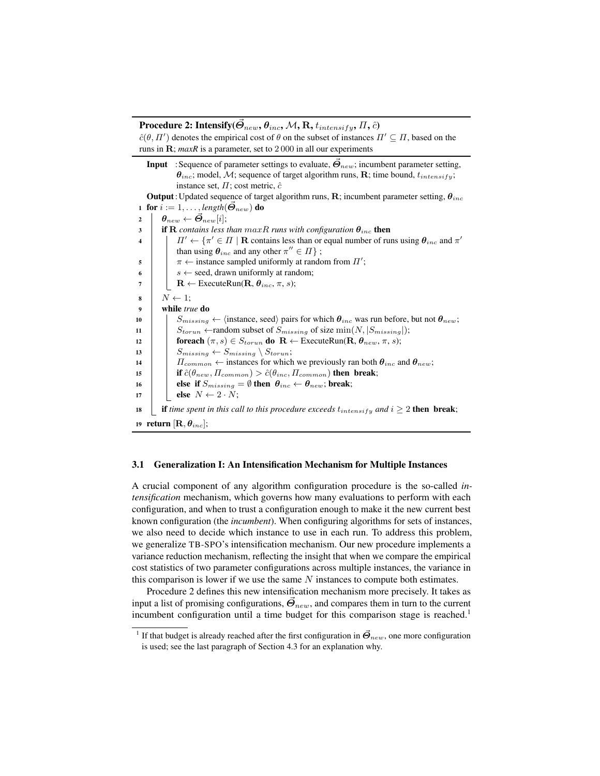Procedure 2: Intensify( $\vec{\mathcal{O}}_{new}, \theta_{inc}, \mathcal{M}, \mathrm{R}, t_{intensity}, \mathit{\Pi}, \hat{c})$ 

 $\hat{c}(\theta, \Pi')$  denotes the empirical cost of  $\theta$  on the subset of instances  $\Pi' \subseteq \Pi$ , based on the runs in R; *maxR* is a parameter, set to 2 000 in all our experiments

**Input** : Sequence of parameter settings to evaluate,  $\vec{\Theta}_{new}$ ; incumbent parameter setting,  $\theta_{inc}$ ; model, M; sequence of target algorithm runs, R; time bound,  $t_{intensity}$ ; instance set,  $\Pi$ ; cost metric,  $\hat{c}$ **Output**: Updated sequence of target algorithm runs, R; incumbent parameter setting,  $\theta_{inc}$ 1 for  $i := 1, \ldots$ , *length* $(\Theta_{new})$  do 2  $\theta_{new} \leftarrow \boldsymbol{\Theta}_{new}[i];$ 3 **if R** contains less than  $maxR$  runs with configuration  $\theta_{inc}$  then  $\mathcal{H} = \left\{ \begin{array}{l l} 0 \end{array} \right. \quad \textrm{and} \quad \pi' \in \Pi \mid \mathbf{R} \text{ contains less than or equal number of runs using } \boldsymbol{\theta}_{inc} \text{ and } \pi' \text{ and } \pi' \text{ and } \pi' \text{ and } \pi' \text{ and } \pi' \text{ and } \pi' \text{ and } \pi' \text{ and } \pi' \text{ and } \pi' \text{ and } \pi' \text{ and } \pi' \text{ and } \pi' \text{ and } \pi' \text{ and } \pi' \text{ and } \pi' \text{ and } \pi' \text{ and } \pi' \text{ and } \pi'$ than using  $\theta_{inc}$  and any other  $\pi'' \in \Pi$  ;  $\begin{array}{c|c} 5 \end{array}$   $\begin{array}{c} \pi \leftarrow \text{instance sampled uniformly at random from } \Pi'; \end{array}$ 6  $\vert$   $\vert$  s  $\leftarrow$  seed, drawn uniformly at random; 7 | R ← ExecuteRun( $\mathbf{R}, \theta_{inc}, \pi, s$ );  $\begin{array}{c|c} \mathbf{s} & N \leftarrow 1; \end{array}$ <sup>9</sup> while *true* do 10  $\left| \right|$  S<sub>missing</sub>  $\leftarrow$  (instance, seed) pairs for which  $\theta_{inc}$  was run before, but not  $\theta_{new}$ ; 11  $\vert$   $\vert$   $S_{torun}$   $\leftarrow$  random subset of  $S_{missing}$  of size  $\min(N, |S_{missing}|)$ ; 12 **foreach**  $(\pi, s) \in S_{torun}$  do  $\mathbf{R} \leftarrow$  ExecuteRun( $\mathbf{R}, \theta_{new}, \pi, s$ ); 13 |  $S_{missing} \leftarrow S_{missing} \setminus S_{torun};$ 14  $\left| \right|$   $\left| \right|$   $\left| \right|$   $\left| \right|$   $\left| \right|$   $\left| \right|$   $\left| \right|$   $\left| \right|$   $\left| \right|$   $\left| \right|$   $\left| \right|$   $\left| \right|$   $\left| \right|$   $\left| \right|$   $\left| \right|$   $\left| \right|$   $\left| \right|$   $\left| \right|$   $\left| \right|$   $\left| \right|$   $\left| \right|$   $\left| \right|$   $\left| \right|$   $\left| \right|$   $\$ 15 **if**  $\hat{c}(\theta_{new}, \Pi_{common}) > \hat{c}(\theta_{inc}, \Pi_{common})$  then break; 16 **else if**  $S_{missing} = \emptyset$  then  $\theta_{inc} \leftarrow \theta_{new}$ ; break; 17 **else**  $N \leftarrow 2 \cdot N$ ; 18 **if** *time spent in this call to this procedure exceeds*  $t_{intensity}$  *and*  $i \geq 2$  **then break**; 19 return  $[\mathbf{R}, \theta_{inc}];$ 

#### 3.1 Generalization I: An Intensification Mechanism for Multiple Instances

A crucial component of any algorithm configuration procedure is the so-called *intensification* mechanism, which governs how many evaluations to perform with each configuration, and when to trust a configuration enough to make it the new current best known configuration (the *incumbent*). When configuring algorithms for sets of instances, we also need to decide which instance to use in each run. To address this problem, we generalize TB-SPO's intensification mechanism. Our new procedure implements a variance reduction mechanism, reflecting the insight that when we compare the empirical cost statistics of two parameter configurations across multiple instances, the variance in this comparison is lower if we use the same  $N$  instances to compute both estimates.

Procedure 2 defines this new intensification mechanism more precisely. It takes as input a list of promising configurations,  $\vec{\theta}_{new}$ , and compares them in turn to the current incumbent configuration until a time budget for this comparison stage is reached.<sup>1</sup>

<sup>&</sup>lt;sup>1</sup> If that budget is already reached after the first configuration in  $\vec{\Theta}_{new}$ , one more configuration is used; see the last paragraph of Section 4.3 for an explanation why.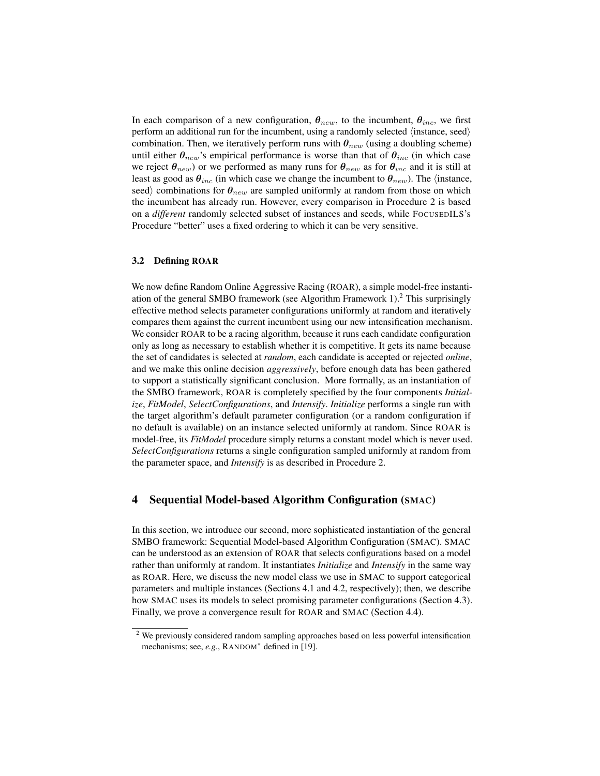In each comparison of a new configuration,  $\theta_{new}$ , to the incumbent,  $\theta_{inc}$ , we first perform an additional run for the incumbent, using a randomly selected  $\langle$  instance, seed $\rangle$ combination. Then, we iteratively perform runs with  $\theta_{new}$  (using a doubling scheme) until either  $\theta_{new}$ 's empirical performance is worse than that of  $\theta_{inc}$  (in which case we reject  $\theta_{new}$ ) or we performed as many runs for  $\theta_{new}$  as for  $\theta_{inc}$  and it is still at least as good as  $\theta_{inc}$  (in which case we change the incumbent to  $\theta_{new}$ ). The (instance, seed) combinations for  $\theta_{new}$  are sampled uniformly at random from those on which the incumbent has already run. However, every comparison in Procedure 2 is based on a *different* randomly selected subset of instances and seeds, while FOCUSEDILS's Procedure "better" uses a fixed ordering to which it can be very sensitive.

### 3.2 Defining ROAR

We now define Random Online Aggressive Racing (ROAR), a simple model-free instantiation of the general SMBO framework (see Algorithm Framework  $1$ ).<sup>2</sup> This surprisingly effective method selects parameter configurations uniformly at random and iteratively compares them against the current incumbent using our new intensification mechanism. We consider ROAR to be a racing algorithm, because it runs each candidate configuration only as long as necessary to establish whether it is competitive. It gets its name because the set of candidates is selected at *random*, each candidate is accepted or rejected *online*, and we make this online decision *aggressively*, before enough data has been gathered to support a statistically significant conclusion. More formally, as an instantiation of the SMBO framework, ROAR is completely specified by the four components *Initialize*, *FitModel*, *SelectConfigurations*, and *Intensify*. *Initialize* performs a single run with the target algorithm's default parameter configuration (or a random configuration if no default is available) on an instance selected uniformly at random. Since ROAR is model-free, its *FitModel* procedure simply returns a constant model which is never used. *SelectConfigurations* returns a single configuration sampled uniformly at random from the parameter space, and *Intensify* is as described in Procedure 2.

# 4 Sequential Model-based Algorithm Configuration (SMAC)

In this section, we introduce our second, more sophisticated instantiation of the general SMBO framework: Sequential Model-based Algorithm Configuration (SMAC). SMAC can be understood as an extension of ROAR that selects configurations based on a model rather than uniformly at random. It instantiates *Initialize* and *Intensify* in the same way as ROAR. Here, we discuss the new model class we use in SMAC to support categorical parameters and multiple instances (Sections 4.1 and 4.2, respectively); then, we describe how SMAC uses its models to select promising parameter configurations (Section 4.3). Finally, we prove a convergence result for ROAR and SMAC (Section 4.4).

<sup>&</sup>lt;sup>2</sup> We previously considered random sampling approaches based on less powerful intensification mechanisms; see, e.g., RANDOM<sup>\*</sup> defined in [19].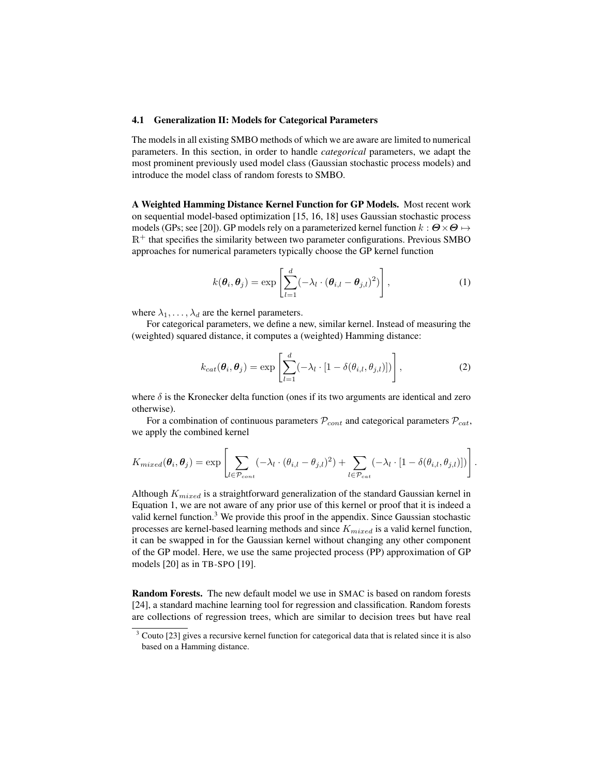### 4.1 Generalization II: Models for Categorical Parameters

The models in all existing SMBO methods of which we are aware are limited to numerical parameters. In this section, in order to handle *categorical* parameters, we adapt the most prominent previously used model class (Gaussian stochastic process models) and introduce the model class of random forests to SMBO.

A Weighted Hamming Distance Kernel Function for GP Models. Most recent work on sequential model-based optimization [15, 16, 18] uses Gaussian stochastic process models (GPs; see [20]). GP models rely on a parameterized kernel function  $k : \mathbf{\Theta} \times \mathbf{\Theta} \mapsto$  $\mathbb{R}^+$  that specifies the similarity between two parameter configurations. Previous SMBO approaches for numerical parameters typically choose the GP kernel function

$$
k(\boldsymbol{\theta}_i, \boldsymbol{\theta}_j) = \exp\left[\sum_{l=1}^d (-\lambda_l \cdot (\boldsymbol{\theta}_{i,l} - \boldsymbol{\theta}_{j,l})^2)\right],
$$
 (1)

where  $\lambda_1, \ldots, \lambda_d$  are the kernel parameters.

For categorical parameters, we define a new, similar kernel. Instead of measuring the (weighted) squared distance, it computes a (weighted) Hamming distance:

$$
k_{cat}(\boldsymbol{\theta}_i, \boldsymbol{\theta}_j) = \exp\left[\sum_{l=1}^d (-\lambda_l \cdot [1 - \delta(\theta_{i,l}, \theta_{j,l})])\right],
$$
 (2)

where  $\delta$  is the Kronecker delta function (ones if its two arguments are identical and zero otherwise).

For a combination of continuous parameters  $\mathcal{P}_{cont}$  and categorical parameters  $\mathcal{P}_{cat}$ , we apply the combined kernel

$$
K_{mixed}(\boldsymbol{\theta}_i, \boldsymbol{\theta}_j) = \exp \left[ \sum_{l \in \mathcal{P}_{cont}} (-\lambda_l \cdot (\theta_{i,l} - \theta_{j,l})^2) + \sum_{l \in \mathcal{P}_{cat}} (-\lambda_l \cdot [1 - \delta(\theta_{i,l}, \theta_{j,l})]) \right].
$$

Although  $K_{mixed}$  is a straightforward generalization of the standard Gaussian kernel in Equation 1, we are not aware of any prior use of this kernel or proof that it is indeed a valid kernel function.<sup>3</sup> We provide this proof in the appendix. Since Gaussian stochastic processes are kernel-based learning methods and since  $K_{mixed}$  is a valid kernel function, it can be swapped in for the Gaussian kernel without changing any other component of the GP model. Here, we use the same projected process (PP) approximation of GP models [20] as in TB-SPO [19].

Random Forests. The new default model we use in SMAC is based on random forests [24], a standard machine learning tool for regression and classification. Random forests are collections of regression trees, which are similar to decision trees but have real

 $3$  Couto [23] gives a recursive kernel function for categorical data that is related since it is also based on a Hamming distance.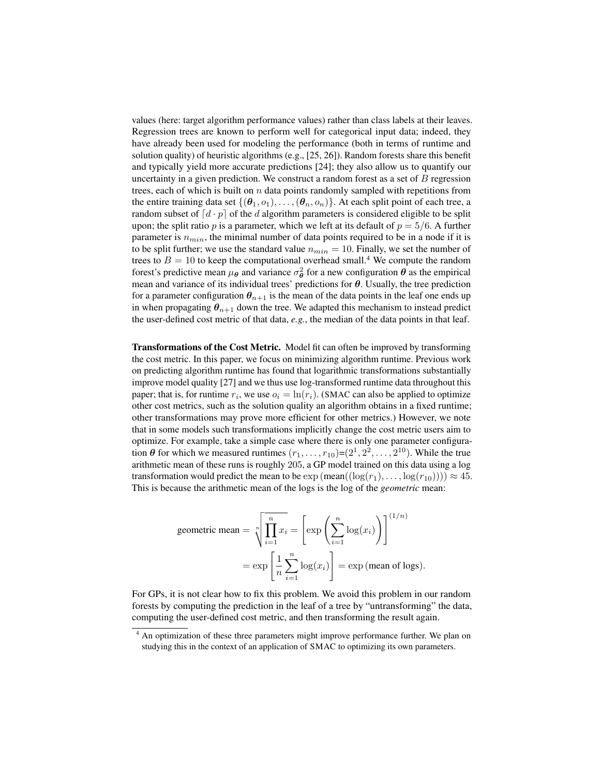values (here: target algorithm performance values) rather than class labels at their leaves. Regression trees are known to perform well for categorical input data; indeed, they have already been used for modeling the performance (both in terms of runtime and solution quality) of heuristic algorithms (e.g., [25, 26]). Random forests share this benefit and typically yield more accurate predictions [24]; they also allow us to quantify our uncertainty in a given prediction. We construct a random forest as a set of  $B$  regression trees, each of which is built on  $n$  data points randomly sampled with repetitions from the entire training data set  $\{(\theta_1, o_1), \ldots, (\theta_n, o_n)\}\$ . At each split point of each tree, a random subset of  $\lceil d \cdot p \rceil$  of the d algorithm parameters is considered eligible to be split upon; the split ratio p is a parameter, which we left at its default of  $p = 5/6$ . A further parameter is  $n_{min}$ , the minimal number of data points required to be in a node if it is to be split further; we use the standard value  $n_{min} = 10$ . Finally, we set the number of trees to  $B = 10$  to keep the computational overhead small.<sup>4</sup> We compute the random forest's predictive mean  $\mu_{\theta}$  and variance  $\sigma_{\theta}^2$  for a new configuration  $\theta$  as the empirical mean and variance of its individual trees' predictions for  $\theta$ . Usually, the tree prediction for a parameter configuration  $\theta_{n+1}$  is the mean of the data points in the leaf one ends up in when propagating  $\theta_{n+1}$  down the tree. We adapted this mechanism to instead predict the user-defined cost metric of that data, *e.g.*, the median of the data points in that leaf.

Transformations of the Cost Metric. Model fit can often be improved by transforming the cost metric. In this paper, we focus on minimizing algorithm runtime. Previous work on predicting algorithm runtime has found that logarithmic transformations substantially improve model quality [27] and we thus use log-transformed runtime data throughout this paper; that is, for runtime  $r_i$ , we use  $o_i = \ln(r_i)$ . (SMAC can also be applied to optimize other cost metrics, such as the solution quality an algorithm obtains in a fixed runtime; other transformations may prove more efficient for other metrics.) However, we note that in some models such transformations implicitly change the cost metric users aim to optimize. For example, take a simple case where there is only one parameter configuration  $\theta$  for which we measured runtimes  $(r_1, \ldots, r_{10}) = (2^1, 2^2, \ldots, 2^{10})$ . While the true arithmetic mean of these runs is roughly 205, a GP model trained on this data using a log transformation would predict the mean to be  $\exp(\text{mean}((\log(r_1), \ldots, \log(r_{10})))) \approx 45$ . This is because the arithmetic mean of the logs is the log of the *geometric* mean:

geometric mean = 
$$
\sqrt[n]{\prod_{i=1}^{n} x_i}
$$
 =  $\left[ \exp \left( \sum_{i=1}^{n} \log(x_i) \right) \right]^{(1/n)}$   
=  $\exp \left[ \frac{1}{n} \sum_{i=1}^{n} \log(x_i) \right]$  =  $\exp \left( \text{mean of logs} \right)$ .

For GPs, it is not clear how to fix this problem. We avoid this problem in our random forests by computing the prediction in the leaf of a tree by "untransforming" the data, computing the user-defined cost metric, and then transforming the result again.

<sup>&</sup>lt;sup>4</sup> An optimization of these three parameters might improve performance further. We plan on studying this in the context of an application of SMAC to optimizing its own parameters.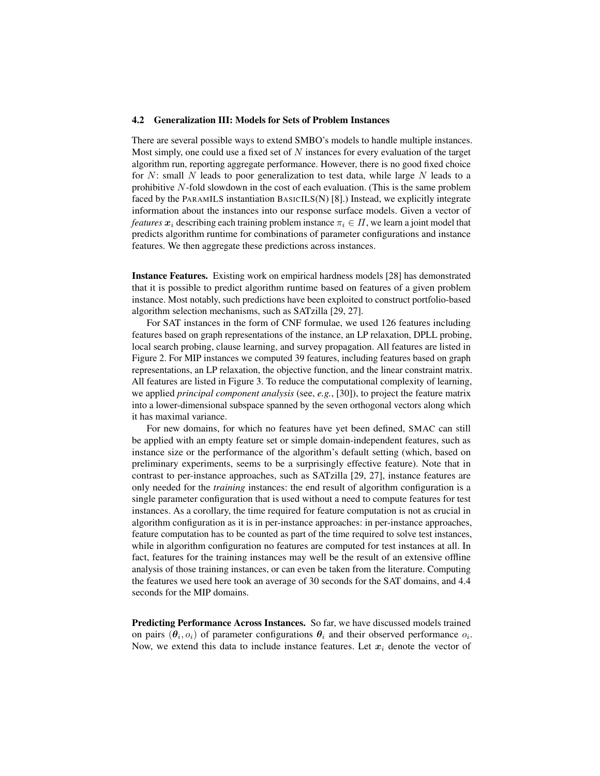### 4.2 Generalization III: Models for Sets of Problem Instances

There are several possible ways to extend SMBO's models to handle multiple instances. Most simply, one could use a fixed set of  $N$  instances for every evaluation of the target algorithm run, reporting aggregate performance. However, there is no good fixed choice for N: small N leads to poor generalization to test data, while large N leads to a prohibitive N-fold slowdown in the cost of each evaluation. (This is the same problem faced by the PARAMILS instantiation BASICILS(N) [8].) Instead, we explicitly integrate information about the instances into our response surface models. Given a vector of *features*  $x_i$  describing each training problem instance  $\pi_i \in \Pi$ , we learn a joint model that predicts algorithm runtime for combinations of parameter configurations and instance features. We then aggregate these predictions across instances.

Instance Features. Existing work on empirical hardness models [28] has demonstrated that it is possible to predict algorithm runtime based on features of a given problem instance. Most notably, such predictions have been exploited to construct portfolio-based algorithm selection mechanisms, such as SATzilla [29, 27].

For SAT instances in the form of CNF formulae, we used 126 features including features based on graph representations of the instance, an LP relaxation, DPLL probing, local search probing, clause learning, and survey propagation. All features are listed in Figure 2. For MIP instances we computed 39 features, including features based on graph representations, an LP relaxation, the objective function, and the linear constraint matrix. All features are listed in Figure 3. To reduce the computational complexity of learning, we applied *principal component analysis* (see, *e.g.*, [30]), to project the feature matrix into a lower-dimensional subspace spanned by the seven orthogonal vectors along which it has maximal variance.

For new domains, for which no features have yet been defined, SMAC can still be applied with an empty feature set or simple domain-independent features, such as instance size or the performance of the algorithm's default setting (which, based on preliminary experiments, seems to be a surprisingly effective feature). Note that in contrast to per-instance approaches, such as SATzilla [29, 27], instance features are only needed for the *training* instances: the end result of algorithm configuration is a single parameter configuration that is used without a need to compute features for test instances. As a corollary, the time required for feature computation is not as crucial in algorithm configuration as it is in per-instance approaches: in per-instance approaches, feature computation has to be counted as part of the time required to solve test instances, while in algorithm configuration no features are computed for test instances at all. In fact, features for the training instances may well be the result of an extensive offline analysis of those training instances, or can even be taken from the literature. Computing the features we used here took an average of 30 seconds for the SAT domains, and 4.4 seconds for the MIP domains.

Predicting Performance Across Instances. So far, we have discussed models trained on pairs  $(\theta_i, o_i)$  of parameter configurations  $\theta_i$  and their observed performance  $o_i$ . Now, we extend this data to include instance features. Let  $x_i$  denote the vector of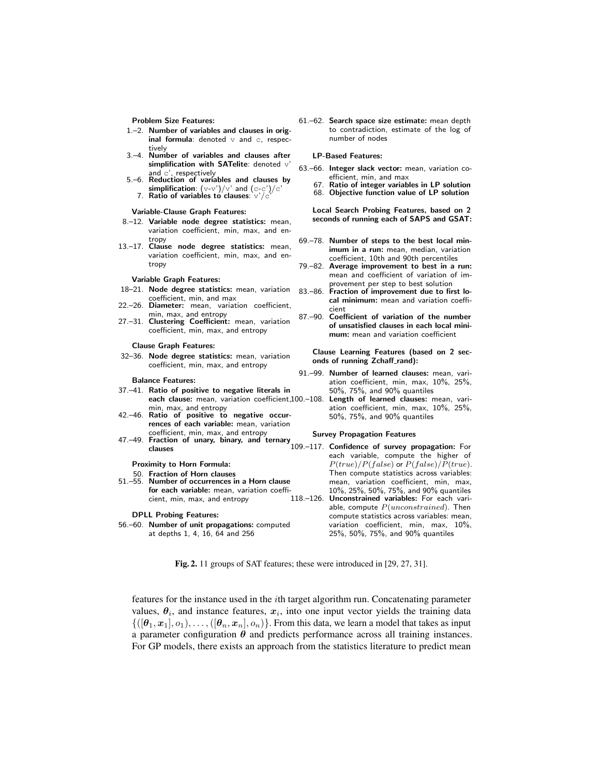Problem Size Features:

- 1.–2. Number of variables and clauses in original formula: denoted  $\nabla$  and  $\infty$ , respectively
- 3.–4. Number of variables and clauses after simplification with SATelite: denoted  $\nabla$
- and  $c'$ , respectively<br>5.–6. Reduction of variables and clauses by simplification:  $(v-v')/v'$  and  $(c-c')/c'$ <br>7. Ratio of variables to clauses:  $v'/c'$

#### Variable-Clause Graph Features:

- 8.–12. Variable node degree statistics: mean, variation coefficient, min, max, and entropy
- 13.–17. Clause node degree statistics: mean, variation coefficient, min, max, and entropy

#### Variable Graph Features:

- 18–21. Node degree statistics: mean, variation coefficient, min, and max
- 22.–26. Diameter: mean, variation coefficient, min, max, and entropy
- 27.–31. Clustering Coefficient: mean, variation coefficient, min, max, and entropy

#### Clause Graph Features:

32–36. Node degree statistics: mean, variation coefficient, min, max, and entropy

#### Balance Features:

- 37.–41. Ratio of positive to negative literals in each clause: mean, variation coefficient,100.-108. Length of learned clauses: mean, vari-
- min, max, and entropy 42.–46. Ratio of positive to negative occurrences of each variable: mean, variation coefficient, min, max, and entropy
- 47.–49. Fraction of unary, binary, and ternary clauses

### Proximity to Horn Formula:

50. Fraction of Horn clauses 51.–55. Number of occurrences in a Horn clause for each variable: mean, variation coefficient, min, max, and entropy

#### DPLL Probing Features:

56.–60. Number of unit propagations: computed at depths 1, 4, 16, 64 and 256

61.–62. Search space size estimate: mean depth to contradiction, estimate of the log of number of nodes

#### LP-Based Features:

- 63.–66. Integer slack vector: mean, variation coefficient, min, and max
	- 67. Ratio of integer variables in LP solution 68. Objective function value of LP solution

Local Search Probing Features, based on 2 seconds of running each of SAPS and GSAT:

- 69.–78. Number of steps to the best local minimum in a run: mean, median, variation coefficient, 10th and 90th percentiles
- 79.–82. Average improvement to best in a run: mean and coefficient of variation of improvement per step to best solution
- 83.–86. Fraction of improvement due to first local minimum: mean and variation coefficient
- 87.–90. Coefficient of variation of the number of unsatisfied clauses in each local minimum: mean and variation coefficient

Clause Learning Features (based on 2 seconds of running Zchaff\_rand):

- 91.–99. Number of learned clauses: mean, variation coefficient, min, max, 10%, 25%, 50%, 75%, and 90% quantiles
	- ation coefficient, min, max, 10%, 25%, 50%, 75%, and 90% quantiles

#### Survey Propagation Features

109.–117. Confidence of survey propagation: For each variable, compute the higher of  $P(true)/P(false)$  or  $P(false)/P(true)$ . Then compute statistics across variables: mean, variation coefficient, min, max, 10%, 25%, 50%, 75%, and 90% quantiles 118.–126. Unconstrained variables: For each variable, compute  $P(unconstrained)$ . Then compute statistics across variables: mean, variation coefficient, min, max, 10%, 25%, 50%, 75%, and 90% quantiles

Fig. 2. 11 groups of SAT features; these were introduced in [29, 27, 31].

features for the instance used in the *i*th target algorithm run. Concatenating parameter values,  $\theta_i$ , and instance features,  $x_i$ , into one input vector yields the training data  $\{([\theta_1, x_1], o_1), \ldots, ([\theta_n, x_n], o_n)\}.$  From this data, we learn a model that takes as input a parameter configuration  $\theta$  and predicts performance across all training instances. For GP models, there exists an approach from the statistics literature to predict mean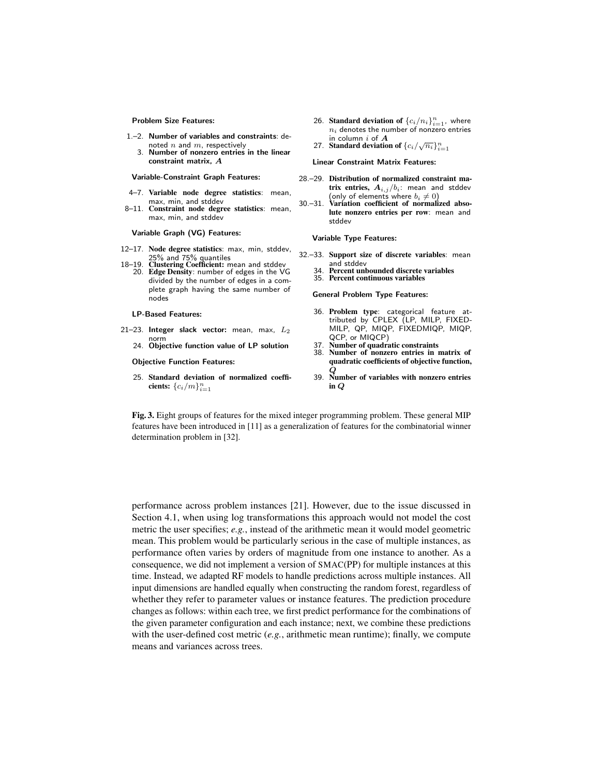Problem Size Features:

- 1.–2. Number of variables and constraints: denoted  $n$  and  $m$ , respectively
	- 3. Number of nonzero entries in the linear constraint matrix, A

Variable-Constraint Graph Features:

- 4–7. Variable node degree statistics: mean, max, min, and stddev 8–11. Constraint node degree statistics: mean,
- max, min, and stddev

Variable Graph (VG) Features:

- 12–17. Node degree statistics: max, min, stddev, 25% and 75% quantiles
- 18–19. Clustering Coefficient: mean and stddev 20. Edge Density: number of edges in the VG divided by the number of edges in a complete graph having the same number of nodes

#### LP-Based Features:

- 21–23. Integer slack vector: mean, max,  $L_2$ 
	- norm 24. Objective function value of LP solution

### Objective Function Features:

25. Standard deviation of normalized coefficients:  $\{c_i/m\}_{i=1}^n$ 

- 26. Standard deviation of  $\{c_i/n_i\}_{i=1}^n$ , where  $n_i$  denotes the number of nonzero entries in column  $i$  of  $A$
- 27. Standard deviation of  $\{c_i/\sqrt{n_i}\}_{i=1}^n$

Linear Constraint Matrix Features:

- 28.–29. Distribution of normalized constraint matrix entries,  $A_{i,j}/b_i$ : mean and stddev (only of elements where  $b_i \neq 0$ )
- 30.–31. Variation coefficient of normalized absolute nonzero entries per row: mean and stddev

Variable Type Features:

- 32.–33. Support size of discrete variables: mean and stddev
	- 34. Percent unbounded discrete variables
	- 35. Percent continuous variables

General Problem Type Features:

- 36. Problem type: categorical feature attributed by CPLEX (LP, MILP, FIXED-MILP, QP, MIQP, FIXEDMIQP, MIQP, QCP, or MIQCP)
- 37. Number of quadratic constraints<br>38. Number of nonzero entries in r
- Number of nonzero entries in matrix of quadratic coefficients of objective function,
- Q 39. Number of variables with nonzero entries in Q

Fig. 3. Eight groups of features for the mixed integer programming problem. These general MIP features have been introduced in [11] as a generalization of features for the combinatorial winner determination problem in [32].

performance across problem instances [21]. However, due to the issue discussed in Section 4.1, when using log transformations this approach would not model the cost metric the user specifies; *e.g.*, instead of the arithmetic mean it would model geometric mean. This problem would be particularly serious in the case of multiple instances, as performance often varies by orders of magnitude from one instance to another. As a consequence, we did not implement a version of SMAC(PP) for multiple instances at this time. Instead, we adapted RF models to handle predictions across multiple instances. All input dimensions are handled equally when constructing the random forest, regardless of whether they refer to parameter values or instance features. The prediction procedure changes as follows: within each tree, we first predict performance for the combinations of the given parameter configuration and each instance; next, we combine these predictions with the user-defined cost metric (*e.g.*, arithmetic mean runtime); finally, we compute means and variances across trees.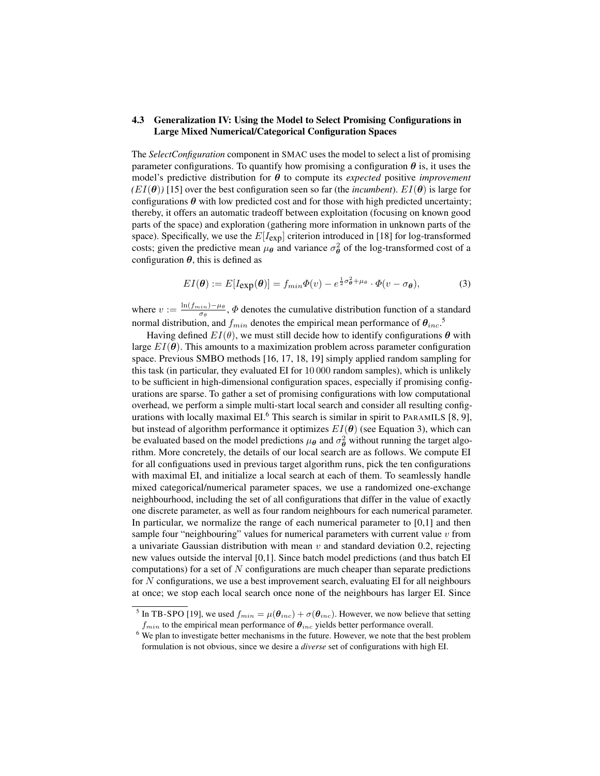# 4.3 Generalization IV: Using the Model to Select Promising Configurations in Large Mixed Numerical/Categorical Configuration Spaces

The *SelectConfiguration* component in SMAC uses the model to select a list of promising parameter configurations. To quantify how promising a configuration  $\theta$  is, it uses the model's predictive distribution for θ to compute its *expected* positive *improvement*  $(EI(\theta))$  [15] over the best configuration seen so far (the *incumbent*).  $EI(\theta)$  is large for configurations  $\theta$  with low predicted cost and for those with high predicted uncertainty; thereby, it offers an automatic tradeoff between exploitation (focusing on known good parts of the space) and exploration (gathering more information in unknown parts of the space). Specifically, we use the  $E[I_{exp}]$  criterion introduced in [18] for log-transformed costs; given the predictive mean  $\mu_{\theta}$  and variance  $\sigma_{\theta}^2$  of the log-transformed cost of a configuration  $\theta$ , this is defined as

$$
EI(\boldsymbol{\theta}) := E[I_{\exp}(\boldsymbol{\theta})] = f_{min}\Phi(v) - e^{\frac{1}{2}\sigma_{\boldsymbol{\theta}}^2 + \mu_{\boldsymbol{\theta}}} \cdot \Phi(v - \sigma_{\boldsymbol{\theta}}),
$$
(3)

where  $v := \frac{\ln(f_{min}) - \mu_{\theta}}{\sigma_{\theta}}$  $\frac{\sinh(-\mu)}{\sigma_\theta}$ ,  $\Phi$  denotes the cumulative distribution function of a standard normal distribution, and  $f_{min}$  denotes the empirical mean performance of  $\theta_{inc}$ .<sup>5</sup>

Having defined  $EI(\theta)$ , we must still decide how to identify configurations  $\theta$  with large  $EI(\theta)$ . This amounts to a maximization problem across parameter configuration space. Previous SMBO methods [16, 17, 18, 19] simply applied random sampling for this task (in particular, they evaluated EI for 10 000 random samples), which is unlikely to be sufficient in high-dimensional configuration spaces, especially if promising configurations are sparse. To gather a set of promising configurations with low computational overhead, we perform a simple multi-start local search and consider all resulting configurations with locally maximal  $EI<sup>6</sup>$ . This search is similar in spirit to PARAMILS [8, 9], but instead of algorithm performance it optimizes  $EI(\theta)$  (see Equation 3), which can be evaluated based on the model predictions  $\mu_{\theta}$  and  $\sigma_{\theta}^2$  without running the target algorithm. More concretely, the details of our local search are as follows. We compute EI for all configuations used in previous target algorithm runs, pick the ten configurations with maximal EI, and initialize a local search at each of them. To seamlessly handle mixed categorical/numerical parameter spaces, we use a randomized one-exchange neighbourhood, including the set of all configurations that differ in the value of exactly one discrete parameter, as well as four random neighbours for each numerical parameter. In particular, we normalize the range of each numerical parameter to [0,1] and then sample four "neighbouring" values for numerical parameters with current value  $v$  from a univariate Gaussian distribution with mean  $v$  and standard deviation 0.2, rejecting new values outside the interval [0,1]. Since batch model predictions (and thus batch EI computations) for a set of N configurations are much cheaper than separate predictions for  $N$  configurations, we use a best improvement search, evaluating EI for all neighbours at once; we stop each local search once none of the neighbours has larger EI. Since

<sup>&</sup>lt;sup>5</sup> In TB-SPO [19], we used  $f_{min} = \mu(\theta_{inc}) + \sigma(\theta_{inc})$ . However, we now believe that setting  $f_{min}$  to the empirical mean performance of  $\theta_{inc}$  yields better performance overall.

<sup>&</sup>lt;sup>6</sup> We plan to investigate better mechanisms in the future. However, we note that the best problem formulation is not obvious, since we desire a *diverse* set of configurations with high EI.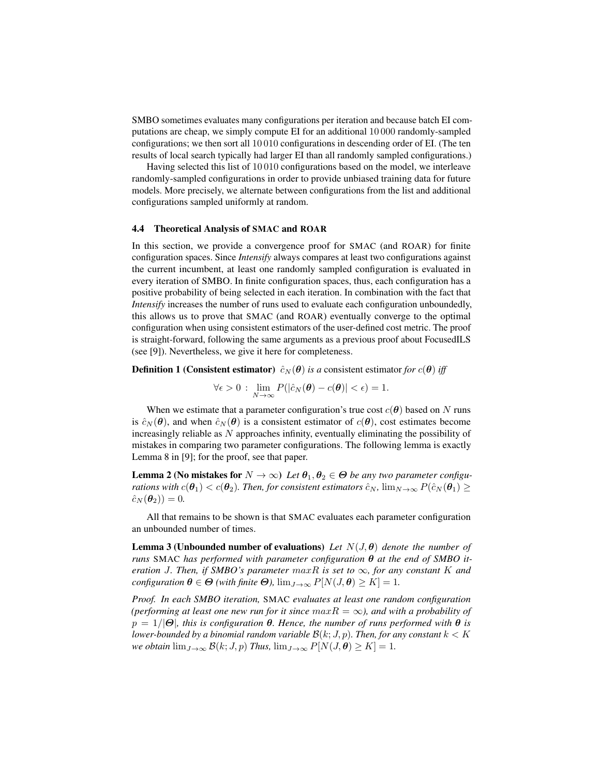SMBO sometimes evaluates many configurations per iteration and because batch EI computations are cheap, we simply compute EI for an additional 10 000 randomly-sampled configurations; we then sort all 10 010 configurations in descending order of EI. (The ten results of local search typically had larger EI than all randomly sampled configurations.)

Having selected this list of 10 010 configurations based on the model, we interleave randomly-sampled configurations in order to provide unbiased training data for future models. More precisely, we alternate between configurations from the list and additional configurations sampled uniformly at random.

### 4.4 Theoretical Analysis of SMAC and ROAR

In this section, we provide a convergence proof for SMAC (and ROAR) for finite configuration spaces. Since *Intensify* always compares at least two configurations against the current incumbent, at least one randomly sampled configuration is evaluated in every iteration of SMBO. In finite configuration spaces, thus, each configuration has a positive probability of being selected in each iteration. In combination with the fact that *Intensify* increases the number of runs used to evaluate each configuration unboundedly, this allows us to prove that SMAC (and ROAR) eventually converge to the optimal configuration when using consistent estimators of the user-defined cost metric. The proof is straight-forward, following the same arguments as a previous proof about FocusedILS (see [9]). Nevertheless, we give it here for completeness.

**Definition 1 (Consistent estimator)**  $\hat{c}_N(\theta)$  *is a* consistent estimator *for*  $c(\theta)$  *iff* 

$$
\forall \epsilon > 0 : \lim_{N \to \infty} P(|\hat{c}_N(\boldsymbol{\theta}) - c(\boldsymbol{\theta})| < \epsilon) = 1.
$$

When we estimate that a parameter configuration's true cost  $c(\theta)$  based on N runs is  $\hat{c}_N(\theta)$ , and when  $\hat{c}_N(\theta)$  is a consistent estimator of  $c(\theta)$ , cost estimates become increasingly reliable as  $N$  approaches infinity, eventually eliminating the possibility of mistakes in comparing two parameter configurations. The following lemma is exactly Lemma 8 in [9]; for the proof, see that paper.

**Lemma 2 (No mistakes for**  $N \to \infty$ ) Let  $\theta_1, \theta_2 \in \Theta$  be any two parameter configu*rations with*  $c(\theta_1) < c(\theta_2)$ *. Then, for consistent estimators*  $\hat{c}_N$ *,*  $\lim_{N \to \infty} P(\hat{c}_N(\theta_1) \geq$  $\hat{c}_N(\theta_2) = 0.$ 

All that remains to be shown is that SMAC evaluates each parameter configuration an unbounded number of times.

Lemma 3 (Unbounded number of evaluations) *Let* N(J, θ) *denote the number of runs* SMAC *has performed with parameter configuration*  $\theta$  *at the end of SMBO iteration* J. Then, if SMBO's parameter  $maxR$  is set to  $\infty$ , for any constant K and *configuration*  $\theta \in \Theta$  *(with finite*  $\Theta$ *),*  $\lim_{J \to \infty} P[N(J, \theta) \geq K] = 1$ *.* 

*Proof. In each SMBO iteration,* SMAC *evaluates at least one random configuration (performing at least one new run for it since*  $maxR = \infty$ *), and with a probability of*  $p = 1/|\Theta|$ *, this is configuration*  $\theta$ *. Hence, the number of runs performed with*  $\theta$  *is lower-bounded by a binomial random variable*  $\mathcal{B}(k; J, p)$ *. Then, for any constant*  $k < K$ *we obtain*  $\lim_{J\to\infty} \mathcal{B}(k; J, p)$  *Thus,*  $\lim_{J\to\infty} P[N(J, \theta) \geq K] = 1$ *.*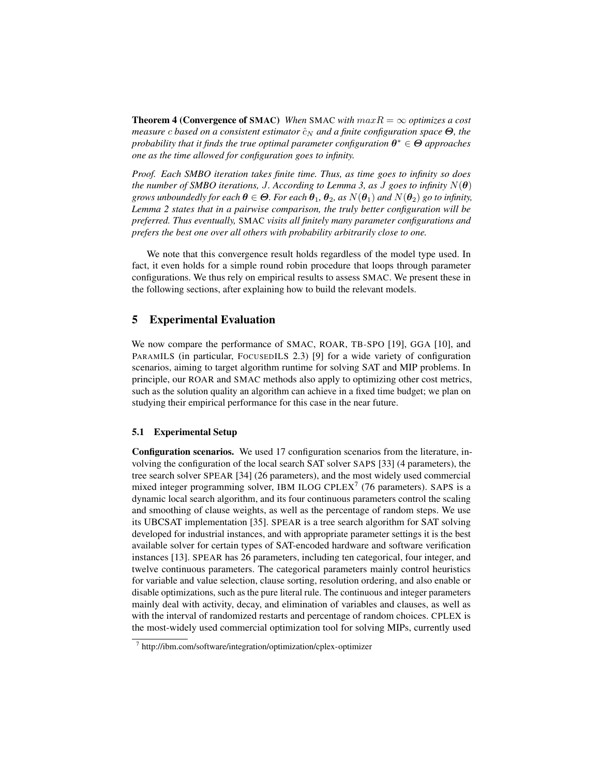**Theorem 4 (Convergence of SMAC)** *When* SMAC *with*  $maxR = \infty$  *optimizes a cost measure c* based on a consistent estimator  $\hat{c}_N$  and a finite configuration space  $\Theta$ , the *probability that it finds the true optimal parameter configuration* θ <sup>∗</sup> ∈ Θ *approaches one as the time allowed for configuration goes to infinity.*

*Proof. Each SMBO iteration takes finite time. Thus, as time goes to infinity so does the number of SMBO iterations, J. According to Lemma 3, as J goes to infinity*  $N(\theta)$ *grows unboundedly for each*  $\theta \in \Theta$ *. For each*  $\theta_1$ *,*  $\theta_2$ *, as*  $N(\theta_1)$  *and*  $N(\theta_2)$  *go to infinity, Lemma 2 states that in a pairwise comparison, the truly better configuration will be preferred. Thus eventually,* SMAC *visits all finitely many parameter configurations and prefers the best one over all others with probability arbitrarily close to one.*

We note that this convergence result holds regardless of the model type used. In fact, it even holds for a simple round robin procedure that loops through parameter configurations. We thus rely on empirical results to assess SMAC. We present these in the following sections, after explaining how to build the relevant models.

# 5 Experimental Evaluation

We now compare the performance of SMAC, ROAR, TB-SPO [19], GGA [10], and PARAMILS (in particular, FOCUSEDILS 2.3) [9] for a wide variety of configuration scenarios, aiming to target algorithm runtime for solving SAT and MIP problems. In principle, our ROAR and SMAC methods also apply to optimizing other cost metrics, such as the solution quality an algorithm can achieve in a fixed time budget; we plan on studying their empirical performance for this case in the near future.

### 5.1 Experimental Setup

Configuration scenarios. We used 17 configuration scenarios from the literature, involving the configuration of the local search SAT solver SAPS [33] (4 parameters), the tree search solver SPEAR [34] (26 parameters), and the most widely used commercial mixed integer programming solver, IBM ILOG CPLEX<sup>7</sup> (76 parameters). SAPS is a dynamic local search algorithm, and its four continuous parameters control the scaling and smoothing of clause weights, as well as the percentage of random steps. We use its UBCSAT implementation [35]. SPEAR is a tree search algorithm for SAT solving developed for industrial instances, and with appropriate parameter settings it is the best available solver for certain types of SAT-encoded hardware and software verification instances [13]. SPEAR has 26 parameters, including ten categorical, four integer, and twelve continuous parameters. The categorical parameters mainly control heuristics for variable and value selection, clause sorting, resolution ordering, and also enable or disable optimizations, such as the pure literal rule. The continuous and integer parameters mainly deal with activity, decay, and elimination of variables and clauses, as well as with the interval of randomized restarts and percentage of random choices. CPLEX is the most-widely used commercial optimization tool for solving MIPs, currently used

<sup>7</sup> http://ibm.com/software/integration/optimization/cplex-optimizer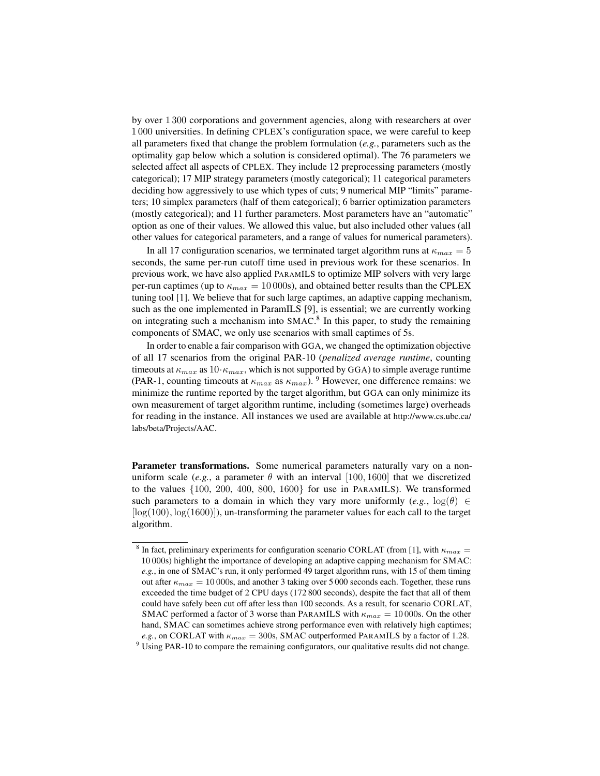by over 1 300 corporations and government agencies, along with researchers at over 1 000 universities. In defining CPLEX's configuration space, we were careful to keep all parameters fixed that change the problem formulation (*e.g.*, parameters such as the optimality gap below which a solution is considered optimal). The 76 parameters we selected affect all aspects of CPLEX. They include 12 preprocessing parameters (mostly categorical); 17 MIP strategy parameters (mostly categorical); 11 categorical parameters deciding how aggressively to use which types of cuts; 9 numerical MIP "limits" parameters; 10 simplex parameters (half of them categorical); 6 barrier optimization parameters (mostly categorical); and 11 further parameters. Most parameters have an "automatic" option as one of their values. We allowed this value, but also included other values (all other values for categorical parameters, and a range of values for numerical parameters).

In all 17 configuration scenarios, we terminated target algorithm runs at  $\kappa_{max} = 5$ seconds, the same per-run cutoff time used in previous work for these scenarios. In previous work, we have also applied PARAMILS to optimize MIP solvers with very large per-run captimes (up to  $\kappa_{max} = 10000$ s), and obtained better results than the CPLEX tuning tool [1]. We believe that for such large captimes, an adaptive capping mechanism, such as the one implemented in ParamILS [9], is essential; we are currently working on integrating such a mechanism into SMAC.<sup>8</sup> In this paper, to study the remaining components of SMAC, we only use scenarios with small captimes of 5s.

In order to enable a fair comparison with GGA, we changed the optimization objective of all 17 scenarios from the original PAR-10 (*penalized average runtime*, counting timeouts at  $\kappa_{max}$  as  $10 \cdot \kappa_{max}$ , which is not supported by GGA) to simple average runtime (PAR-1, counting timeouts at  $\kappa_{max}$  as  $\kappa_{max}$ ). <sup>9</sup> However, one difference remains: we minimize the runtime reported by the target algorithm, but GGA can only minimize its own measurement of target algorithm runtime, including (sometimes large) overheads for reading in the instance. All instances we used are available at http://www.cs.ubc.ca/ labs/beta/Projects/AAC.

Parameter transformations. Some numerical parameters naturally vary on a nonuniform scale (*e.g.*, a parameter  $\theta$  with an interval [100, 1600] that we discretized to the values {100, 200, 400, 800, 1600} for use in PARAMILS). We transformed such parameters to a domain in which they vary more uniformly  $(e.g., \log(\theta) \in$  $[log(100), log(1600)]$ , un-transforming the parameter values for each call to the target algorithm.

<sup>&</sup>lt;sup>8</sup> In fact, preliminary experiments for configuration scenario CORLAT (from [1], with  $\kappa_{max} =$ 10 000s) highlight the importance of developing an adaptive capping mechanism for SMAC: *e.g.*, in one of SMAC's run, it only performed 49 target algorithm runs, with 15 of them timing out after  $\kappa_{max} = 10000$ s, and another 3 taking over 5 000 seconds each. Together, these runs exceeded the time budget of 2 CPU days (172 800 seconds), despite the fact that all of them could have safely been cut off after less than 100 seconds. As a result, for scenario CORLAT, SMAC performed a factor of 3 worse than PARAMILS with  $\kappa_{max} = 10000$ s. On the other hand, SMAC can sometimes achieve strong performance even with relatively high captimes; *e.g.*, on CORLAT with  $\kappa_{max} = 300$ s, SMAC outperformed PARAMILS by a factor of 1.28.

 $9$  Using PAR-10 to compare the remaining configurators, our qualitative results did not change.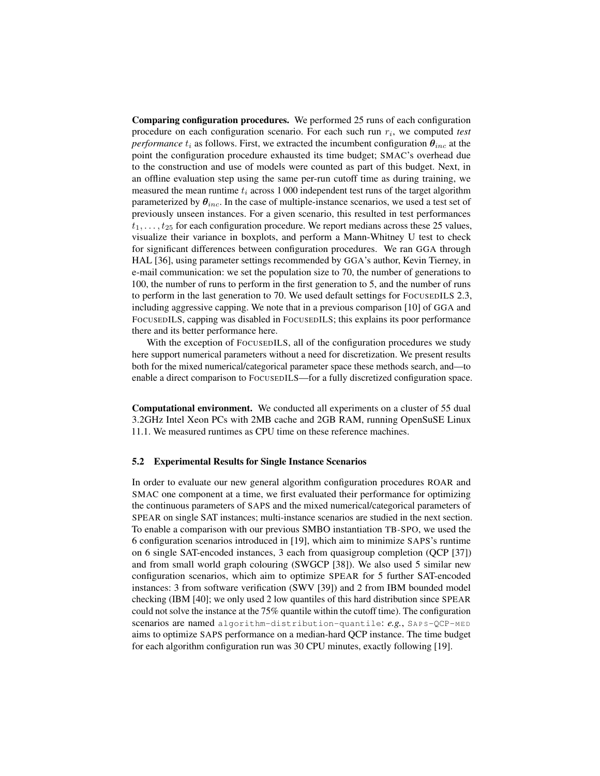Comparing configuration procedures. We performed 25 runs of each configuration procedure on each configuration scenario. For each such run  $r_i$ , we computed *test performance*  $t_i$  as follows. First, we extracted the incumbent configuration  $\theta_{inc}$  at the point the configuration procedure exhausted its time budget; SMAC's overhead due to the construction and use of models were counted as part of this budget. Next, in an offline evaluation step using the same per-run cutoff time as during training, we measured the mean runtime  $t_i$  across 1 000 independent test runs of the target algorithm parameterized by  $\theta_{inc}$ . In the case of multiple-instance scenarios, we used a test set of previously unseen instances. For a given scenario, this resulted in test performances  $t_1, \ldots, t_{25}$  for each configuration procedure. We report medians across these 25 values, visualize their variance in boxplots, and perform a Mann-Whitney U test to check for significant differences between configuration procedures. We ran GGA through HAL [36], using parameter settings recommended by GGA's author, Kevin Tierney, in e-mail communication: we set the population size to 70, the number of generations to 100, the number of runs to perform in the first generation to 5, and the number of runs to perform in the last generation to 70. We used default settings for FOCUSEDILS 2.3, including aggressive capping. We note that in a previous comparison [10] of GGA and FOCUSEDILS, capping was disabled in FOCUSEDILS; this explains its poor performance there and its better performance here.

With the exception of FOCUSEDILS, all of the configuration procedures we study here support numerical parameters without a need for discretization. We present results both for the mixed numerical/categorical parameter space these methods search, and—to enable a direct comparison to FOCUSEDILS—for a fully discretized configuration space.

Computational environment. We conducted all experiments on a cluster of 55 dual 3.2GHz Intel Xeon PCs with 2MB cache and 2GB RAM, running OpenSuSE Linux 11.1. We measured runtimes as CPU time on these reference machines.

### 5.2 Experimental Results for Single Instance Scenarios

In order to evaluate our new general algorithm configuration procedures ROAR and SMAC one component at a time, we first evaluated their performance for optimizing the continuous parameters of SAPS and the mixed numerical/categorical parameters of SPEAR on single SAT instances; multi-instance scenarios are studied in the next section. To enable a comparison with our previous SMBO instantiation TB-SPO, we used the 6 configuration scenarios introduced in [19], which aim to minimize SAPS's runtime on 6 single SAT-encoded instances, 3 each from quasigroup completion (QCP [37]) and from small world graph colouring (SWGCP [38]). We also used 5 similar new configuration scenarios, which aim to optimize SPEAR for 5 further SAT-encoded instances: 3 from software verification (SWV [39]) and 2 from IBM bounded model checking (IBM [40]; we only used 2 low quantiles of this hard distribution since SPEAR could not solve the instance at the 75% quantile within the cutoff time). The configuration scenarios are named algorithm-distribution-quantile: *e.g.*, SAPS-QCP-MED aims to optimize SAPS performance on a median-hard QCP instance. The time budget for each algorithm configuration run was 30 CPU minutes, exactly following [19].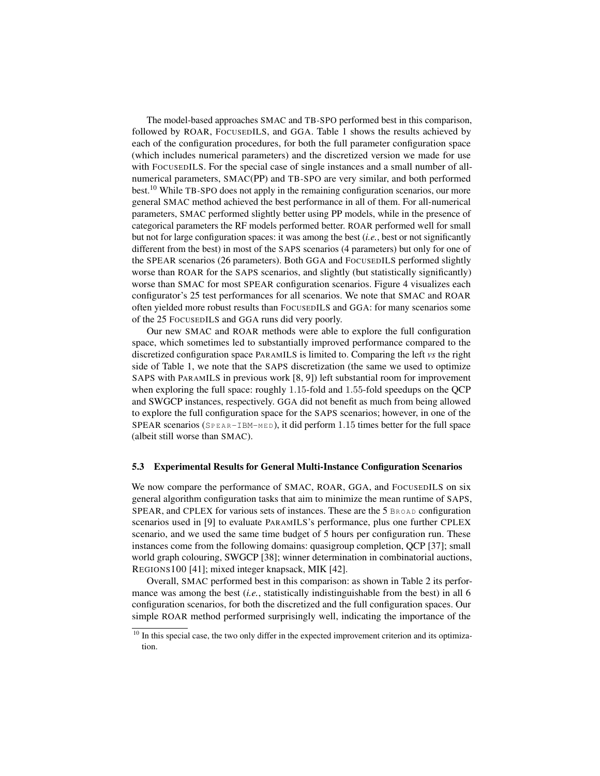The model-based approaches SMAC and TB-SPO performed best in this comparison, followed by ROAR, FOCUSEDILS, and GGA. Table 1 shows the results achieved by each of the configuration procedures, for both the full parameter configuration space (which includes numerical parameters) and the discretized version we made for use with FOCUSEDILS. For the special case of single instances and a small number of allnumerical parameters, SMAC(PP) and TB-SPO are very similar, and both performed best.<sup>10</sup> While TB-SPO does not apply in the remaining configuration scenarios, our more general SMAC method achieved the best performance in all of them. For all-numerical parameters, SMAC performed slightly better using PP models, while in the presence of categorical parameters the RF models performed better. ROAR performed well for small but not for large configuration spaces: it was among the best (*i.e.*, best or not significantly different from the best) in most of the SAPS scenarios (4 parameters) but only for one of the SPEAR scenarios (26 parameters). Both GGA and FOCUSEDILS performed slightly worse than ROAR for the SAPS scenarios, and slightly (but statistically significantly) worse than SMAC for most SPEAR configuration scenarios. Figure 4 visualizes each configurator's 25 test performances for all scenarios. We note that SMAC and ROAR often yielded more robust results than FOCUSEDILS and GGA: for many scenarios some of the 25 FOCUSEDILS and GGA runs did very poorly.

Our new SMAC and ROAR methods were able to explore the full configuration space, which sometimes led to substantially improved performance compared to the discretized configuration space PARAMILS is limited to. Comparing the left *vs* the right side of Table 1, we note that the SAPS discretization (the same we used to optimize SAPS with PARAMILS in previous work [8, 9]) left substantial room for improvement when exploring the full space: roughly 1.15-fold and 1.55-fold speedups on the QCP and SWGCP instances, respectively. GGA did not benefit as much from being allowed to explore the full configuration space for the SAPS scenarios; however, in one of the SPEAR scenarios ( $SPEAR-TBM-MED$ ), it did perform 1.15 times better for the full space (albeit still worse than SMAC).

### 5.3 Experimental Results for General Multi-Instance Configuration Scenarios

We now compare the performance of SMAC, ROAR, GGA, and FOCUSEDILS on six general algorithm configuration tasks that aim to minimize the mean runtime of SAPS, SPEAR, and CPLEX for various sets of instances. These are the 5 BROAD configuration scenarios used in [9] to evaluate PARAMILS's performance, plus one further CPLEX scenario, and we used the same time budget of 5 hours per configuration run. These instances come from the following domains: quasigroup completion, QCP [37]; small world graph colouring, SWGCP [38]; winner determination in combinatorial auctions, REGIONS100 [41]; mixed integer knapsack, MIK [42].

Overall, SMAC performed best in this comparison: as shown in Table 2 its performance was among the best (*i.e.*, statistically indistinguishable from the best) in all 6 configuration scenarios, for both the discretized and the full configuration spaces. Our simple ROAR method performed surprisingly well, indicating the importance of the

<sup>&</sup>lt;sup>10</sup> In this special case, the two only differ in the expected improvement criterion and its optimization.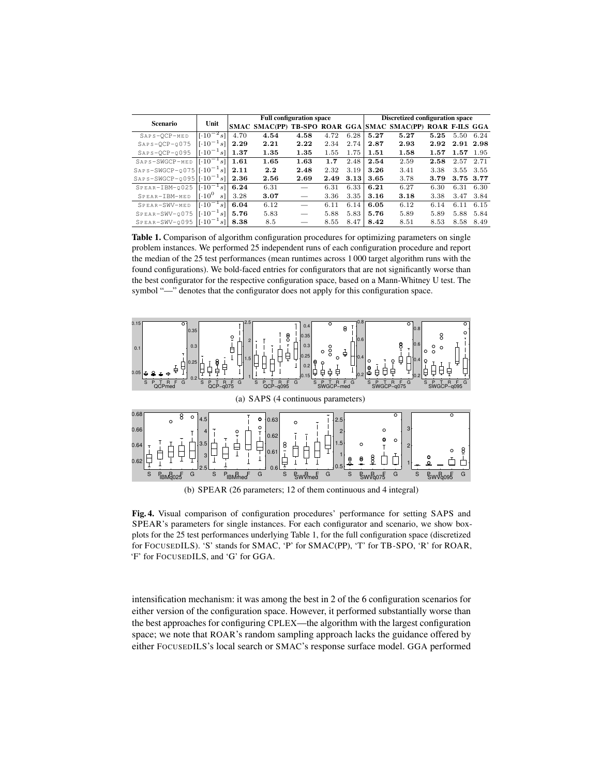| <b>Scenario</b>                       | Unit                                                            | <b>Full configuration space</b> |                                                            |      |      |      | <b>Discretized configuration space</b> |      |      |           |      |
|---------------------------------------|-----------------------------------------------------------------|---------------------------------|------------------------------------------------------------|------|------|------|----------------------------------------|------|------|-----------|------|
|                                       |                                                                 |                                 | SMAC SMAC(PP) TB-SPO ROAR GGA SMAC SMAC(PP) ROAR F-ILS GGA |      |      |      |                                        |      |      |           |      |
| SAPS-OCP-MED                          | $\sqrt{10^{-2}s}$                                               | 4.70                            | 4.54                                                       | 4.58 | 4.72 | 6.28 | 5.27                                   | 5.27 | 5.25 | 5.50      | 6.24 |
| $SAPS-OCP-0075$                       | $\lceil \cdot 10^{-1} \rceil$<br>$s$ ]                          | 2.29                            | 2.21                                                       | 2.22 | 2.34 | 2.74 | 2.87                                   | 2.93 | 2.92 | 2.91 2.98 |      |
| $SAPS-OCP-0095$                       | $\sqrt{10^{-1}}$<br>sl                                          | 1.37                            | 1.35                                                       | 1.35 | 1.55 | 1.75 | 1.51                                   | 1.58 | 1.57 | 1.57      | 1.95 |
| SAPS-SWGCP-MED                        | $[1.10^{-1} s]$                                                 | 1.61                            | 1.65                                                       | 1.63 | 1.7  | 2.48 | 2.54                                   | 2.59 | 2.58 | 2.57      | 2.71 |
| $SAPs-SWGCP-0075$ [ $\cdot10^{-1}s$ ] |                                                                 | 2.11                            | 2.2                                                        | 2.48 | 2.32 | 3.19 | 3.26                                   | 3.41 | 3.38 | 3.55      | 3.55 |
| $SAPs-SWGCP-0095$ [ $\cdot10^{-1}s$ ] |                                                                 | 2.36                            | 2.56                                                       | 2.69 | 2.49 | 3.13 | 3.65                                   | 3.78 | 3.79 | 3.75 3.77 |      |
| SPEAR-IBM-0025                        | $1\cdot10^{-1}$<br>s <sup>1</sup>                               | 6.24                            | 6.31                                                       |      | 6.31 | 6.33 | 6.21                                   | 6.27 | 6.30 | 6.31      | 6.30 |
| SPEAR-IBM-MED                         | $10^{0}$<br>s]                                                  | 3.28                            | 3.07                                                       |      | 3.36 | 3.35 | 3.16                                   | 3.18 | 3.38 | 3.47      | 3.84 |
| SPEAR-SWV-MED                         | $\lceil \cdot 10^{-1} s \rceil$                                 | 6.04                            | 6.12                                                       |      | 6.11 | 6.14 | 6.05                                   | 6.12 | 6.14 | 6.11      | 6.15 |
| SPEAR-SWV-0075                        | $\left  \left[ \cdot 10^{-1} \right] \right $<br>s <sup>1</sup> | 5.76                            | 5.83                                                       |      | 5.88 | 5.83 | 5.76                                   | 5.89 | 5.89 | 5.88      | 5.84 |
| SPEAR-SWV-0095                        | $1[-10^{-1}]$<br>$s$ <sup>1</sup>                               | 8.38                            | 8.5                                                        |      | 8.55 | 8.47 | 8.42                                   | 8.51 | 8.53 | 8.58      | 8.49 |

Table 1. Comparison of algorithm configuration procedures for optimizing parameters on single problem instances. We performed 25 independent runs of each configuration procedure and report the median of the 25 test performances (mean runtimes across 1 000 target algorithm runs with the found configurations). We bold-faced entries for configurators that are not significantly worse than the best configurator for the respective configuration space, based on a Mann-Whitney U test. The symbol "-" denotes that the configurator does not apply for this configuration space.



(b) SPEAR (26 parameters; 12 of them continuous and 4 integral)

Fig. 4. Visual comparison of configuration procedures' performance for setting SAPS and SPEAR's parameters for single instances. For each configurator and scenario, we show boxplots for the 25 test performances underlying Table 1, for the full configuration space (discretized for FOCUSEDILS). 'S' stands for SMAC, 'P' for SMAC(PP), 'T' for TB-SPO, 'R' for ROAR, 'F' for FOCUSEDILS, and 'G' for GGA.

intensification mechanism: it was among the best in 2 of the 6 configuration scenarios for either version of the configuration space. However, it performed substantially worse than the best approaches for configuring CPLEX—the algorithm with the largest configuration space; we note that ROAR's random sampling approach lacks the guidance offered by either FOCUSEDILS's local search or SMAC's response surface model. GGA performed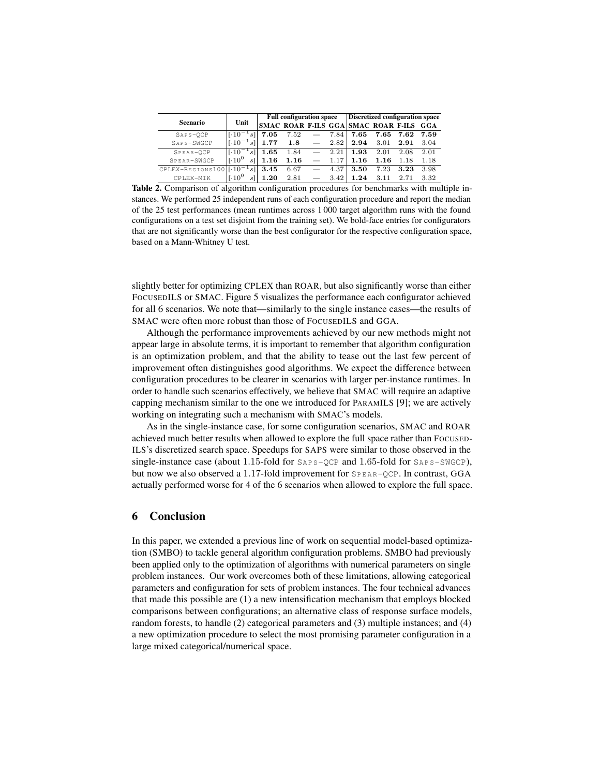|                                 |                                             | <b>Full configuration space</b> |      |                                                                                                                                                                                                                                  |      | Discretized configuration space         |           |      |      |
|---------------------------------|---------------------------------------------|---------------------------------|------|----------------------------------------------------------------------------------------------------------------------------------------------------------------------------------------------------------------------------------|------|-----------------------------------------|-----------|------|------|
| Scenario                        | Unit                                        |                                 |      |                                                                                                                                                                                                                                  |      | SMAC ROAR F-ILS GGA SMAC ROAR F-ILS GGA |           |      |      |
| $SAPS-OCP$                      | $[.10^{-1} s]$                              | 7.05                            | 7.52 | $\overline{\phantom{0}}$                                                                                                                                                                                                         | 7.84 | 7.65                                    | 7.65 7.62 |      | 7.59 |
| SAPS-SWGCP                      | $\lceil \cdot 10^{-1} s \rceil \rceil$ 1.77 |                                 | 1.8  | م المستشفى المستشفى المستشفى المستشفى المستشفى المستشفى المستشفى المستشفى المستشفى المستشفى المستشفى المستشفى ا<br>مستشفى المستشفى المستشفى المستشفى المستشفى المستشفى المستشفى المستشفى المستشفى المستشفى المستشفى المستشفى الم | 2.82 | 2.94                                    | 3.01      | 2.91 | 3.04 |
| SPEAR-OCP                       | $\lceil \cdot 10^{-1} s \rceil$ 1.65        |                                 | 1.84 | $\overline{\phantom{0}}$                                                                                                                                                                                                         | 2.21 | 1.93                                    | 2.01      | 2.08 | 2.01 |
| SPEAR-SWGCP                     | $1.10^{0}$<br>sl                            | 1.16                            | 1.16 |                                                                                                                                                                                                                                  | 1.17 | 1.16                                    | 1.16      | 1.18 | 1.18 |
| $CPLEX-REGIONS 100   [.10-1 s]$ |                                             | 3.45                            | 6.67 |                                                                                                                                                                                                                                  | 4.37 | 3.50                                    | 7.23      | 3.23 | 3.98 |
| CPLEX-MIK                       | $10^{0}$<br>sll                             | 1.20                            | 2.81 |                                                                                                                                                                                                                                  | 3.42 | 1.24                                    | 3.11      | 2.71 | 3.32 |

Table 2. Comparison of algorithm configuration procedures for benchmarks with multiple instances. We performed 25 independent runs of each configuration procedure and report the median of the 25 test performances (mean runtimes across 1 000 target algorithm runs with the found configurations on a test set disjoint from the training set). We bold-face entries for configurators that are not significantly worse than the best configurator for the respective configuration space, based on a Mann-Whitney U test.

slightly better for optimizing CPLEX than ROAR, but also significantly worse than either FOCUSEDILS or SMAC. Figure 5 visualizes the performance each configurator achieved for all 6 scenarios. We note that—similarly to the single instance cases—the results of SMAC were often more robust than those of FocuseDILS and GGA.

Although the performance improvements achieved by our new methods might not appear large in absolute terms, it is important to remember that algorithm configuration is an optimization problem, and that the ability to tease out the last few percent of improvement often distinguishes good algorithms. We expect the difference between configuration procedures to be clearer in scenarios with larger per-instance runtimes. In order to handle such scenarios effectively, we believe that SMAC will require an adaptive capping mechanism similar to the one we introduced for PARAMILS [9]; we are actively working on integrating such a mechanism with SMAC's models.

As in the single-instance case, for some configuration scenarios, SMAC and ROAR achieved much better results when allowed to explore the full space rather than FOCUSED-ILS's discretized search space. Speedups for SAPS were similar to those observed in the single-instance case (about 1.15-fold for  $S_{AP} s - QCP$  and 1.65-fold for  $S_{AP} s - SWGCP$ ), but now we also observed a 1.17-fold improvement for  $SPEAR-OCP$ . In contrast, GGA actually performed worse for 4 of the 6 scenarios when allowed to explore the full space.

# 6 Conclusion

In this paper, we extended a previous line of work on sequential model-based optimization (SMBO) to tackle general algorithm configuration problems. SMBO had previously been applied only to the optimization of algorithms with numerical parameters on single problem instances. Our work overcomes both of these limitations, allowing categorical parameters and configuration for sets of problem instances. The four technical advances that made this possible are (1) a new intensification mechanism that employs blocked comparisons between configurations; an alternative class of response surface models, random forests, to handle (2) categorical parameters and (3) multiple instances; and (4) a new optimization procedure to select the most promising parameter configuration in a large mixed categorical/numerical space.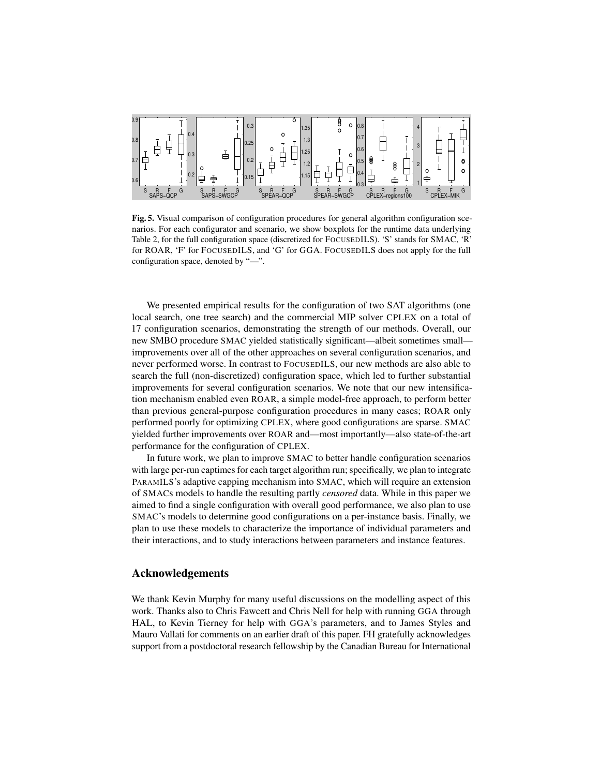

Fig. 5. Visual comparison of configuration procedures for general algorithm configuration scenarios. For each configurator and scenario, we show boxplots for the runtime data underlying Table 2, for the full configuration space (discretized for FOCUSEDILS). 'S' stands for SMAC, 'R' for ROAR, 'F' for FOCUSEDILS, and 'G' for GGA. FOCUSEDILS does not apply for the full configuration space, denoted by "—".

We presented empirical results for the configuration of two SAT algorithms (one local search, one tree search) and the commercial MIP solver CPLEX on a total of 17 configuration scenarios, demonstrating the strength of our methods. Overall, our new SMBO procedure SMAC yielded statistically significant—albeit sometimes small improvements over all of the other approaches on several configuration scenarios, and never performed worse. In contrast to FOCUSEDILS, our new methods are also able to search the full (non-discretized) configuration space, which led to further substantial improvements for several configuration scenarios. We note that our new intensification mechanism enabled even ROAR, a simple model-free approach, to perform better than previous general-purpose configuration procedures in many cases; ROAR only performed poorly for optimizing CPLEX, where good configurations are sparse. SMAC yielded further improvements over ROAR and—most importantly—also state-of-the-art performance for the configuration of CPLEX.

In future work, we plan to improve SMAC to better handle configuration scenarios with large per-run captimes for each target algorithm run; specifically, we plan to integrate PARAMILS's adaptive capping mechanism into SMAC, which will require an extension of SMACs models to handle the resulting partly *censored* data. While in this paper we aimed to find a single configuration with overall good performance, we also plan to use SMAC's models to determine good configurations on a per-instance basis. Finally, we plan to use these models to characterize the importance of individual parameters and their interactions, and to study interactions between parameters and instance features.

# Acknowledgements

We thank Kevin Murphy for many useful discussions on the modelling aspect of this work. Thanks also to Chris Fawcett and Chris Nell for help with running GGA through HAL, to Kevin Tierney for help with GGA's parameters, and to James Styles and Mauro Vallati for comments on an earlier draft of this paper. FH gratefully acknowledges support from a postdoctoral research fellowship by the Canadian Bureau for International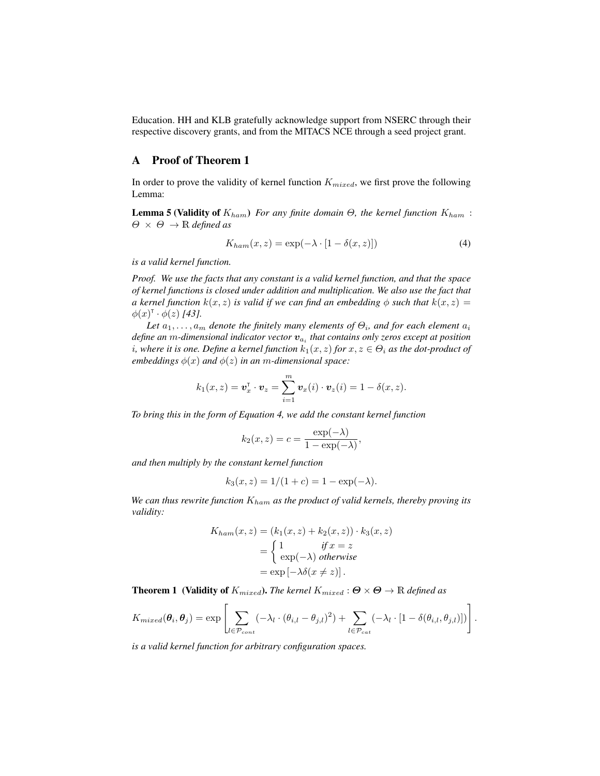Education. HH and KLB gratefully acknowledge support from NSERC through their respective discovery grants, and from the MITACS NCE through a seed project grant.

# A Proof of Theorem 1

In order to prove the validity of kernel function  $K_{mixed}$ , we first prove the following Lemma:

**Lemma 5 (Validity of**  $K_{ham}$ ) *For any finite domain*  $\Theta$ *, the kernel function*  $K_{ham}$ :  $\Theta \times \Theta \rightarrow \mathbb{R}$  *defined as* 

$$
K_{ham}(x, z) = \exp(-\lambda \cdot [1 - \delta(x, z)]) \tag{4}
$$

*is a valid kernel function.*

*Proof. We use the facts that any constant is a valid kernel function, and that the space of kernel functions is closed under addition and multiplication. We also use the fact that a* kernel function  $k(x, z)$  *is valid if we can find an embedding*  $\phi$  *such that*  $k(x, z)$  =  $\phi(x)^{\mathsf{T}} \cdot \phi(z)$  [43].

Let  $a_1, \ldots, a_m$  denote the finitely many elements of  $\Theta_i$ , and for each element  $a_i$ *define an* m*-dimensional indicator vector* va<sup>i</sup> *that contains only zeros except at position i*, where it is one. Define a kernel function  $k_1(x, z)$  for  $x, z \in \Theta_i$  as the dot-product of *embeddings*  $\phi(x)$  *and*  $\phi(z)$  *in an m*-*dimensional space:* 

$$
k_1(x, z) = \mathbf{v}_x^{\mathsf{T}} \cdot \mathbf{v}_z = \sum_{i=1}^m \mathbf{v}_x(i) \cdot \mathbf{v}_z(i) = 1 - \delta(x, z).
$$

*To bring this in the form of Equation 4, we add the constant kernel function*

$$
k_2(x, z) = c = \frac{\exp(-\lambda)}{1 - \exp(-\lambda)},
$$

*and then multiply by the constant kernel function*

$$
k_3(x, z) = 1/(1 + c) = 1 - \exp(-\lambda).
$$

*We can thus rewrite function* Kham *as the product of valid kernels, thereby proving its validity:*

$$
K_{ham}(x, z) = (k_1(x, z) + k_2(x, z)) \cdot k_3(x, z)
$$
  
= 
$$
\begin{cases} 1 & \text{if } x = z \\ \exp(-\lambda) & \text{otherwise} \end{cases}
$$
  
= 
$$
\exp[-\lambda \delta(x \neq z)].
$$

**Theorem 1** (Validity of  $K_{mixed}$ ). *The kernel*  $K_{mixed}$  :  $\Theta \times \Theta \rightarrow \mathbb{R}$  *defined as* 

$$
K_{mixed}(\boldsymbol{\theta}_i, \boldsymbol{\theta}_j) = \exp \left[ \sum_{l \in \mathcal{P}_{cont}} (-\lambda_l \cdot (\theta_{i,l} - \theta_{j,l})^2) + \sum_{l \in \mathcal{P}_{cat}} (-\lambda_l \cdot [1 - \delta(\theta_{i,l}, \theta_{j,l})]) \right].
$$

*is a valid kernel function for arbitrary configuration spaces.*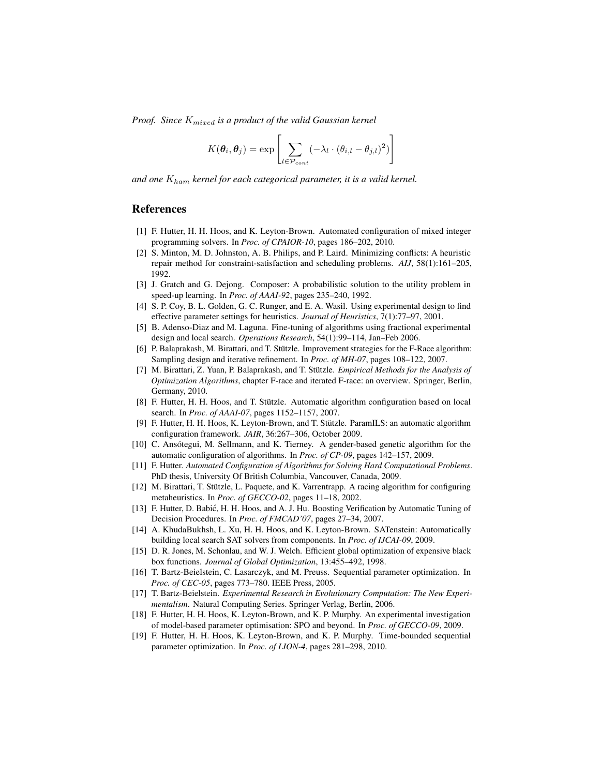*Proof. Since* Kmixed *is a product of the valid Gaussian kernel*

$$
K(\boldsymbol{\theta}_i, \boldsymbol{\theta}_j) = \exp \left[ \sum_{l \in \mathcal{P}_{cont}} (-\lambda_l \cdot (\theta_{i,l} - \theta_{j,l})^2) \right]
$$

*and one* Kham *kernel for each categorical parameter, it is a valid kernel.*

# References

- [1] F. Hutter, H. H. Hoos, and K. Leyton-Brown. Automated configuration of mixed integer programming solvers. In *Proc. of CPAIOR-10*, pages 186–202, 2010.
- [2] S. Minton, M. D. Johnston, A. B. Philips, and P. Laird. Minimizing conflicts: A heuristic repair method for constraint-satisfaction and scheduling problems. *AIJ*, 58(1):161–205, 1992.
- [3] J. Gratch and G. Dejong. Composer: A probabilistic solution to the utility problem in speed-up learning. In *Proc. of AAAI-92*, pages 235–240, 1992.
- [4] S. P. Coy, B. L. Golden, G. C. Runger, and E. A. Wasil. Using experimental design to find effective parameter settings for heuristics. *Journal of Heuristics*, 7(1):77–97, 2001.
- [5] B. Adenso-Diaz and M. Laguna. Fine-tuning of algorithms using fractional experimental design and local search. *Operations Research*, 54(1):99–114, Jan–Feb 2006.
- [6] P. Balaprakash, M. Birattari, and T. Stützle. Improvement strategies for the F-Race algorithm: Sampling design and iterative refinement. In *Proc. of MH-07*, pages 108–122, 2007.
- [7] M. Birattari, Z. Yuan, P. Balaprakash, and T. Stützle. *Empirical Methods for the Analysis of Optimization Algorithms*, chapter F-race and iterated F-race: an overview. Springer, Berlin, Germany, 2010.
- [8] F. Hutter, H. H. Hoos, and T. Stützle. Automatic algorithm configuration based on local search. In *Proc. of AAAI-07*, pages 1152–1157, 2007.
- [9] F. Hutter, H. H. Hoos, K. Leyton-Brown, and T. Stützle. ParamILS: an automatic algorithm configuration framework. *JAIR*, 36:267–306, October 2009.
- [10] C. Ansótegui, M. Sellmann, and K. Tierney. A gender-based genetic algorithm for the automatic configuration of algorithms. In *Proc. of CP-09*, pages 142–157, 2009.
- [11] F. Hutter. *Automated Configuration of Algorithms for Solving Hard Computational Problems*. PhD thesis, University Of British Columbia, Vancouver, Canada, 2009.
- [12] M. Birattari, T. Stützle, L. Paquete, and K. Varrentrapp. A racing algorithm for configuring metaheuristics. In *Proc. of GECCO-02*, pages 11–18, 2002.
- [13] F. Hutter, D. Babic, H. H. Hoos, and A. J. Hu. Boosting Verification by Automatic Tuning of ´ Decision Procedures. In *Proc. of FMCAD'07*, pages 27–34, 2007.
- [14] A. KhudaBukhsh, L. Xu, H. H. Hoos, and K. Leyton-Brown. SATenstein: Automatically building local search SAT solvers from components. In *Proc. of IJCAI-09*, 2009.
- [15] D. R. Jones, M. Schonlau, and W. J. Welch. Efficient global optimization of expensive black box functions. *Journal of Global Optimization*, 13:455–492, 1998.
- [16] T. Bartz-Beielstein, C. Lasarczyk, and M. Preuss. Sequential parameter optimization. In *Proc. of CEC-05*, pages 773–780. IEEE Press, 2005.
- [17] T. Bartz-Beielstein. *Experimental Research in Evolutionary Computation: The New Experimentalism*. Natural Computing Series. Springer Verlag, Berlin, 2006.
- [18] F. Hutter, H. H. Hoos, K. Leyton-Brown, and K. P. Murphy. An experimental investigation of model-based parameter optimisation: SPO and beyond. In *Proc. of GECCO-09*, 2009.
- [19] F. Hutter, H. H. Hoos, K. Leyton-Brown, and K. P. Murphy. Time-bounded sequential parameter optimization. In *Proc. of LION-4*, pages 281–298, 2010.